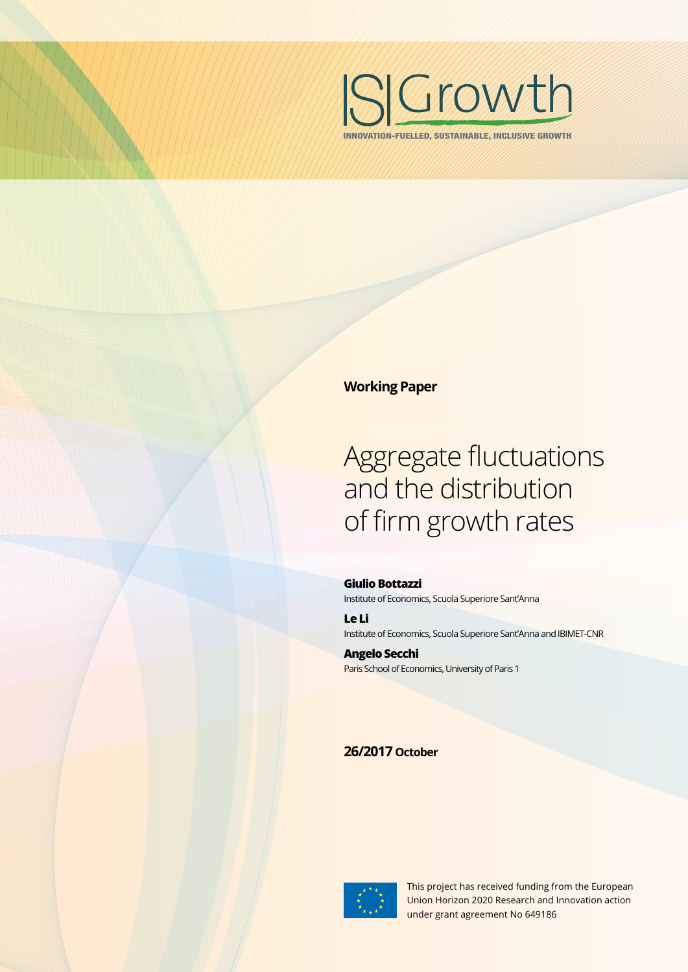

INNOVATION-FUELLED, SUSTAINABLE, INCLUSIVE GROWTH

# **Working Paper**

# Aggregate fluctuations and the distribution of firm growth rates

**Giulio Bottazzi**  Institute of Economics, Scuola Superiore Sant'Anna

**Le Li** Institute of Economics, Scuola Superiore Sant'Anna and IBIMET-CNR

**Angelo Secchi** Paris School of Economics, University of Paris 1

# **26/2017 October**



This project has received funding from the European Union Horizon 2020 Research and Innovation action under grant agreement No 649186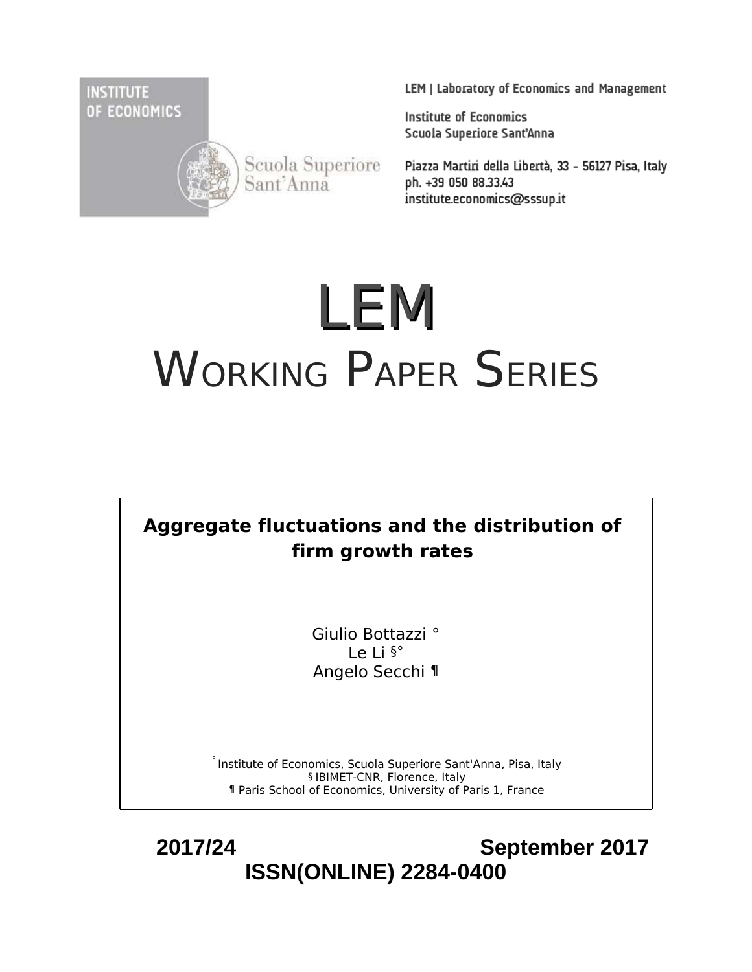**INSTITUTE** OF ECONOMICS



Scuola Superiore<br>Sant'Anna

LEM | Laboratory of Economics and Management

**Institute of Economics** Scuola Superiore Sant'Anna

Piazza Martiri della Libertà, 33 - 56127 Pisa, Italy ph. +39 050 88.33.43 institute.economics@sssup.it

# LEM WORKING PAPER SERIES



Giulio Bottazzi ° Le Li §° Angelo Secchi ¶

° Institute of Economics, Scuola Superiore Sant'Anna, Pisa, Italy § IBIMET-CNR, Florence, Italy ¶ Paris School of Economics, University of Paris 1, France

 **2017/24 September 2017 ISSN(ONLINE) 2284-0400**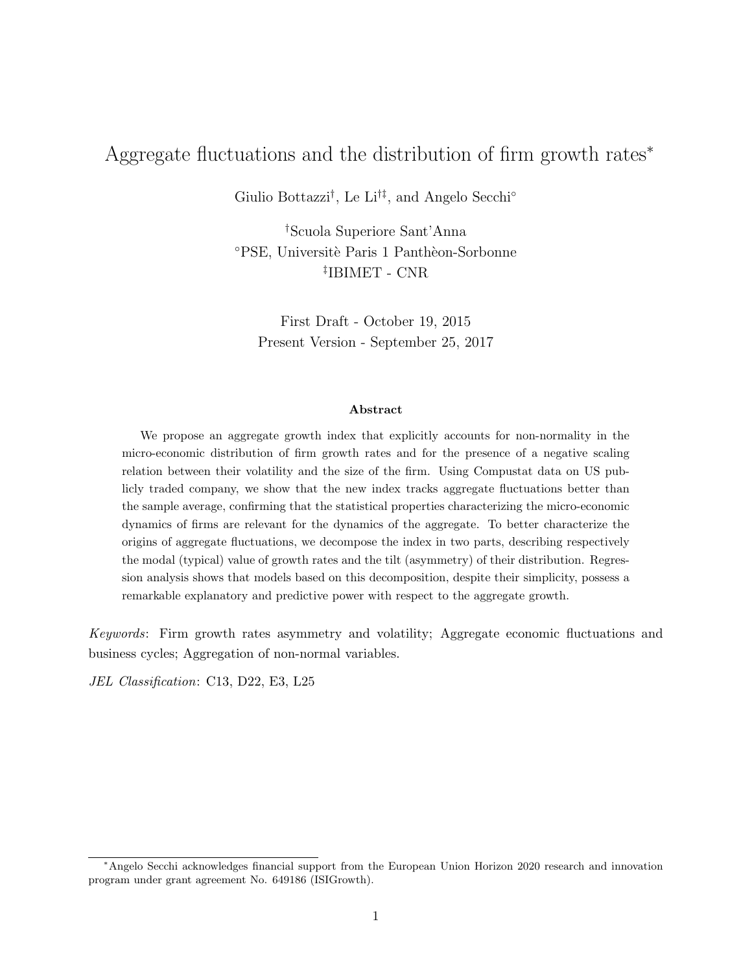# Aggregate fluctuations and the distribution of firm growth rates<sup>∗</sup>

Giulio Bottazzi† , Le Li†‡, and Angelo Secchi◦

†Scuola Superiore Sant'Anna °PSE, Universitè Paris 1 Panthèon-Sorbonne ‡ IBIMET - CNR

First Draft - October 19, 2015 Present Version - September 25, 2017

#### Abstract

We propose an aggregate growth index that explicitly accounts for non-normality in the micro-economic distribution of firm growth rates and for the presence of a negative scaling relation between their volatility and the size of the firm. Using Compustat data on US publicly traded company, we show that the new index tracks aggregate fluctuations better than the sample average, confirming that the statistical properties characterizing the micro-economic dynamics of firms are relevant for the dynamics of the aggregate. To better characterize the origins of aggregate fluctuations, we decompose the index in two parts, describing respectively the modal (typical) value of growth rates and the tilt (asymmetry) of their distribution. Regression analysis shows that models based on this decomposition, despite their simplicity, possess a remarkable explanatory and predictive power with respect to the aggregate growth.

*Keywords*: Firm growth rates asymmetry and volatility; Aggregate economic fluctuations and business cycles; Aggregation of non-normal variables.

*JEL Classification*: C13, D22, E3, L25

<sup>∗</sup>Angelo Secchi acknowledges financial support from the European Union Horizon 2020 research and innovation program under grant agreement No. 649186 (ISIGrowth).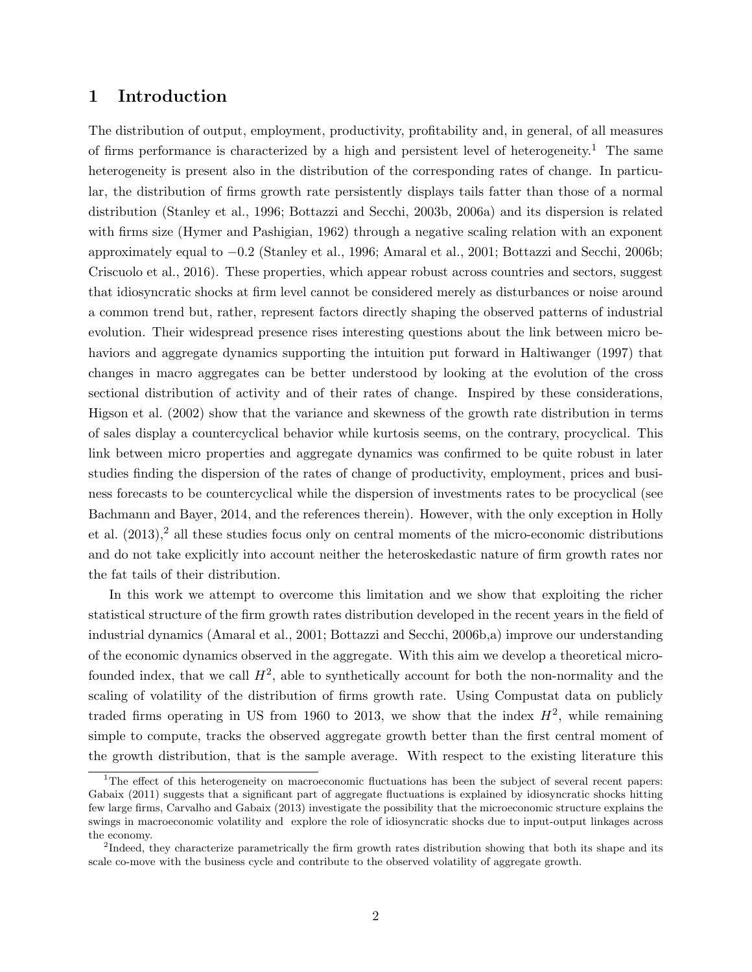# 1 Introduction

The distribution of output, employment, productivity, profitability and, in general, of all measures of firms performance is characterized by a high and persistent level of heterogeneity.<sup>1</sup> The same heterogeneity is present also in the distribution of the corresponding rates of change. In particular, the distribution of firms growth rate persistently displays tails fatter than those of a normal distribution (Stanley et al., 1996; Bottazzi and Secchi, 2003b, 2006a) and its dispersion is related with firms size (Hymer and Pashigian, 1962) through a negative scaling relation with an exponent approximately equal to −0.2 (Stanley et al., 1996; Amaral et al., 2001; Bottazzi and Secchi, 2006b; Criscuolo et al., 2016). These properties, which appear robust across countries and sectors, suggest that idiosyncratic shocks at firm level cannot be considered merely as disturbances or noise around a common trend but, rather, represent factors directly shaping the observed patterns of industrial evolution. Their widespread presence rises interesting questions about the link between micro behaviors and aggregate dynamics supporting the intuition put forward in Haltiwanger (1997) that changes in macro aggregates can be better understood by looking at the evolution of the cross sectional distribution of activity and of their rates of change. Inspired by these considerations, Higson et al. (2002) show that the variance and skewness of the growth rate distribution in terms of sales display a countercyclical behavior while kurtosis seems, on the contrary, procyclical. This link between micro properties and aggregate dynamics was confirmed to be quite robust in later studies finding the dispersion of the rates of change of productivity, employment, prices and business forecasts to be countercyclical while the dispersion of investments rates to be procyclical (see Bachmann and Bayer, 2014, and the references therein). However, with the only exception in Holly et al.  $(2013),<sup>2</sup>$  all these studies focus only on central moments of the micro-economic distributions and do not take explicitly into account neither the heteroskedastic nature of firm growth rates nor the fat tails of their distribution.

In this work we attempt to overcome this limitation and we show that exploiting the richer statistical structure of the firm growth rates distribution developed in the recent years in the field of industrial dynamics (Amaral et al., 2001; Bottazzi and Secchi, 2006b,a) improve our understanding of the economic dynamics observed in the aggregate. With this aim we develop a theoretical microfounded index, that we call  $H^2$ , able to synthetically account for both the non-normality and the scaling of volatility of the distribution of firms growth rate. Using Compustat data on publicly traded firms operating in US from 1960 to 2013, we show that the index  $H^2$ , while remaining simple to compute, tracks the observed aggregate growth better than the first central moment of the growth distribution, that is the sample average. With respect to the existing literature this

<sup>&</sup>lt;sup>1</sup>The effect of this heterogeneity on macroeconomic fluctuations has been the subject of several recent papers: Gabaix (2011) suggests that a significant part of aggregate fluctuations is explained by idiosyncratic shocks hitting few large firms, Carvalho and Gabaix (2013) investigate the possibility that the microeconomic structure explains the swings in macroeconomic volatility and explore the role of idiosyncratic shocks due to input-output linkages across the economy.

 $2$ Indeed, they characterize parametrically the firm growth rates distribution showing that both its shape and its scale co-move with the business cycle and contribute to the observed volatility of aggregate growth.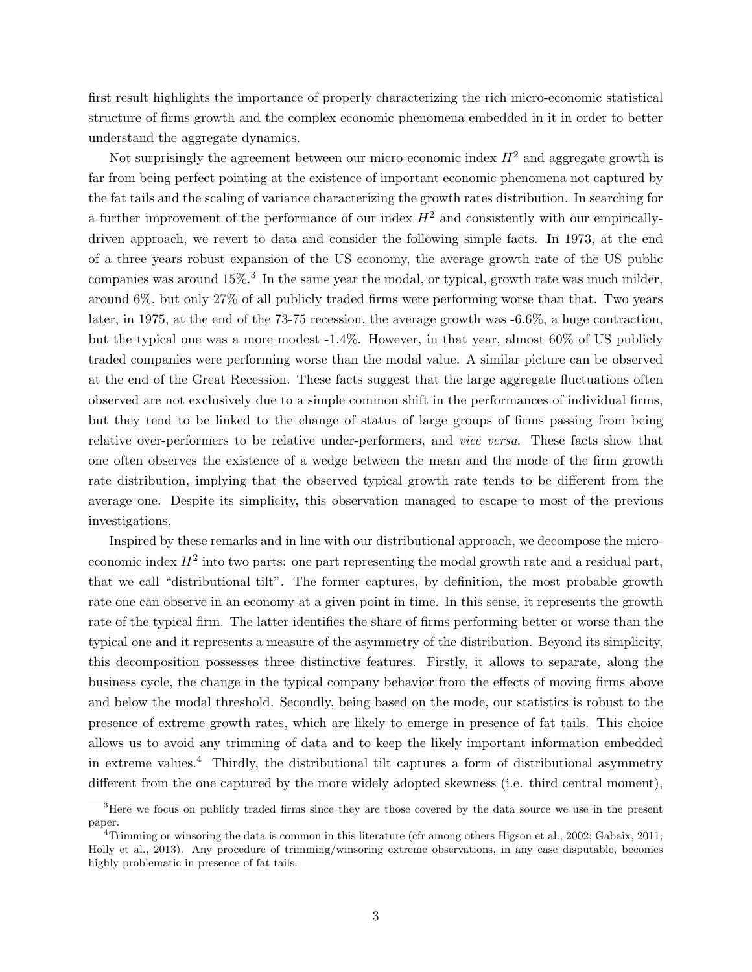first result highlights the importance of properly characterizing the rich micro-economic statistical structure of firms growth and the complex economic phenomena embedded in it in order to better understand the aggregate dynamics.

Not surprisingly the agreement between our micro-economic index  $H^2$  and aggregate growth is far from being perfect pointing at the existence of important economic phenomena not captured by the fat tails and the scaling of variance characterizing the growth rates distribution. In searching for a further improvement of the performance of our index  $H^2$  and consistently with our empiricallydriven approach, we revert to data and consider the following simple facts. In 1973, at the end of a three years robust expansion of the US economy, the average growth rate of the US public companies was around  $15\%$ .<sup>3</sup> In the same year the modal, or typical, growth rate was much milder, around 6%, but only 27% of all publicly traded firms were performing worse than that. Two years later, in 1975, at the end of the 73-75 recession, the average growth was -6.6%, a huge contraction, but the typical one was a more modest -1.4%. However, in that year, almost 60% of US publicly traded companies were performing worse than the modal value. A similar picture can be observed at the end of the Great Recession. These facts suggest that the large aggregate fluctuations often observed are not exclusively due to a simple common shift in the performances of individual firms, but they tend to be linked to the change of status of large groups of firms passing from being relative over-performers to be relative under-performers, and *vice versa*. These facts show that one often observes the existence of a wedge between the mean and the mode of the firm growth rate distribution, implying that the observed typical growth rate tends to be different from the average one. Despite its simplicity, this observation managed to escape to most of the previous investigations.

Inspired by these remarks and in line with our distributional approach, we decompose the microeconomic index  $H^2$  into two parts: one part representing the modal growth rate and a residual part, that we call "distributional tilt". The former captures, by definition, the most probable growth rate one can observe in an economy at a given point in time. In this sense, it represents the growth rate of the typical firm. The latter identifies the share of firms performing better or worse than the typical one and it represents a measure of the asymmetry of the distribution. Beyond its simplicity, this decomposition possesses three distinctive features. Firstly, it allows to separate, along the business cycle, the change in the typical company behavior from the effects of moving firms above and below the modal threshold. Secondly, being based on the mode, our statistics is robust to the presence of extreme growth rates, which are likely to emerge in presence of fat tails. This choice allows us to avoid any trimming of data and to keep the likely important information embedded in extreme values.<sup>4</sup> Thirdly, the distributional tilt captures a form of distributional asymmetry different from the one captured by the more widely adopted skewness (i.e. third central moment),

<sup>&</sup>lt;sup>3</sup>Here we focus on publicly traded firms since they are those covered by the data source we use in the present paper.

<sup>&</sup>lt;sup>4</sup>Trimming or winsoring the data is common in this literature (cfr among others Higson et al., 2002; Gabaix, 2011; Holly et al., 2013). Any procedure of trimming/winsoring extreme observations, in any case disputable, becomes highly problematic in presence of fat tails.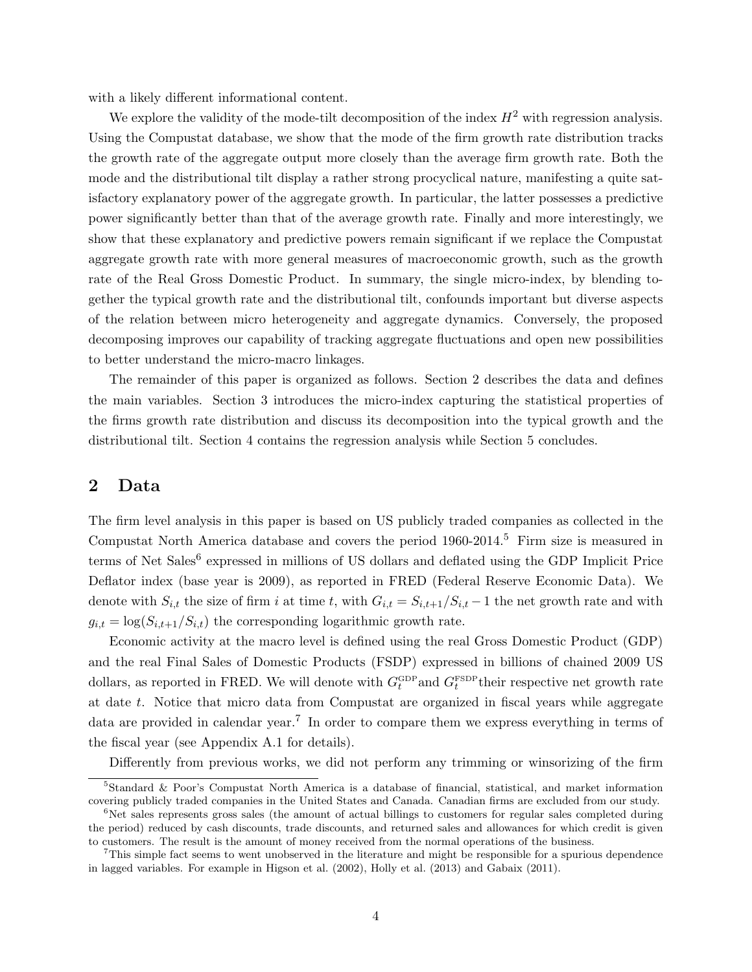with a likely different informational content.

We explore the validity of the mode-tilt decomposition of the index  $H^2$  with regression analysis. Using the Compustat database, we show that the mode of the firm growth rate distribution tracks the growth rate of the aggregate output more closely than the average firm growth rate. Both the mode and the distributional tilt display a rather strong procyclical nature, manifesting a quite satisfactory explanatory power of the aggregate growth. In particular, the latter possesses a predictive power significantly better than that of the average growth rate. Finally and more interestingly, we show that these explanatory and predictive powers remain significant if we replace the Compustat aggregate growth rate with more general measures of macroeconomic growth, such as the growth rate of the Real Gross Domestic Product. In summary, the single micro-index, by blending together the typical growth rate and the distributional tilt, confounds important but diverse aspects of the relation between micro heterogeneity and aggregate dynamics. Conversely, the proposed decomposing improves our capability of tracking aggregate fluctuations and open new possibilities to better understand the micro-macro linkages.

The remainder of this paper is organized as follows. Section 2 describes the data and defines the main variables. Section 3 introduces the micro-index capturing the statistical properties of the firms growth rate distribution and discuss its decomposition into the typical growth and the distributional tilt. Section 4 contains the regression analysis while Section 5 concludes.

# 2 Data

The firm level analysis in this paper is based on US publicly traded companies as collected in the Compustat North America database and covers the period 1960-2014.<sup>5</sup> Firm size is measured in terms of Net Sales<sup>6</sup> expressed in millions of US dollars and deflated using the GDP Implicit Price Deflator index (base year is 2009), as reported in FRED (Federal Reserve Economic Data). We denote with  $S_{i,t}$  the size of firm i at time t, with  $G_{i,t} = S_{i,t+1}/S_{i,t} - 1$  the net growth rate and with  $g_{i,t} = \log(S_{i,t+1}/S_{i,t})$  the corresponding logarithmic growth rate.

Economic activity at the macro level is defined using the real Gross Domestic Product (GDP) and the real Final Sales of Domestic Products (FSDP) expressed in billions of chained 2009 US dollars, as reported in FRED. We will denote with  $G_t^{\text{GDP}}$  and  $G_t^{\text{FSDP}}$  their respective net growth rate at date t. Notice that micro data from Compustat are organized in fiscal years while aggregate data are provided in calendar year.<sup>7</sup> In order to compare them we express everything in terms of the fiscal year (see Appendix A.1 for details).

Differently from previous works, we did not perform any trimming or winsorizing of the firm

<sup>5</sup>Standard & Poor's Compustat North America is a database of financial, statistical, and market information covering publicly traded companies in the United States and Canada. Canadian firms are excluded from our study.

 $6$ Net sales represents gross sales (the amount of actual billings to customers for regular sales completed during the period) reduced by cash discounts, trade discounts, and returned sales and allowances for which credit is given to customers. The result is the amount of money received from the normal operations of the business.

<sup>7</sup>This simple fact seems to went unobserved in the literature and might be responsible for a spurious dependence in lagged variables. For example in Higson et al. (2002), Holly et al. (2013) and Gabaix (2011).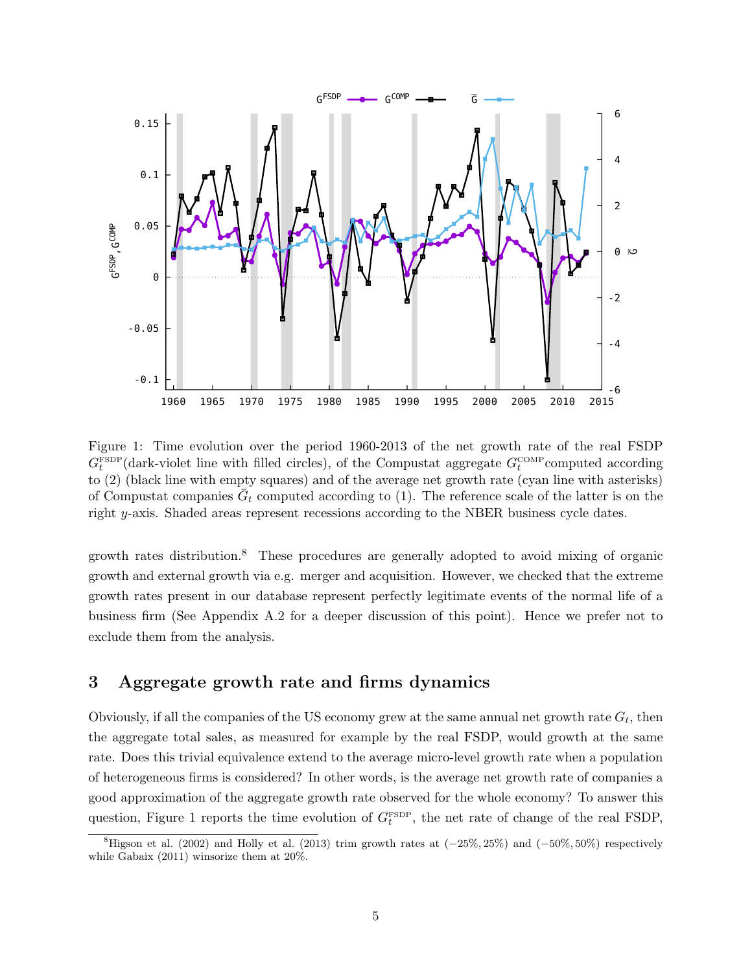

Figure 1: Time evolution over the period 1960-2013 of the net growth rate of the real FSDP  $G_t^{\text{FSDP}}$ (dark-violet line with filled circles), of the Compustat aggregate  $G_t^{\text{COMP}}$ computed according to (2) (black line with empty squares) and of the average net growth rate (cyan line with asterisks) of Compustat companies  $\bar{G}_t$  computed according to (1). The reference scale of the latter is on the right y-axis. Shaded areas represent recessions according to the NBER business cycle dates.

growth rates distribution.<sup>8</sup> These procedures are generally adopted to avoid mixing of organic growth and external growth via e.g. merger and acquisition. However, we checked that the extreme growth rates present in our database represent perfectly legitimate events of the normal life of a business firm (See Appendix A.2 for a deeper discussion of this point). Hence we prefer not to exclude them from the analysis.

# 3 Aggregate growth rate and firms dynamics

Obviously, if all the companies of the US economy grew at the same annual net growth rate  $G_t$ , then the aggregate total sales, as measured for example by the real FSDP, would growth at the same rate. Does this trivial equivalence extend to the average micro-level growth rate when a population of heterogeneous firms is considered? In other words, is the average net growth rate of companies a good approximation of the aggregate growth rate observed for the whole economy? To answer this question, Figure 1 reports the time evolution of  $G_t^{\text{FSDP}}$ , the net rate of change of the real FSDP,

<sup>&</sup>lt;sup>8</sup>Higson et al. (2002) and Holly et al. (2013) trim growth rates at  $(-25\%, 25\%)$  and  $(-50\%, 50\%)$  respectively while Gabaix (2011) winsorize them at 20%.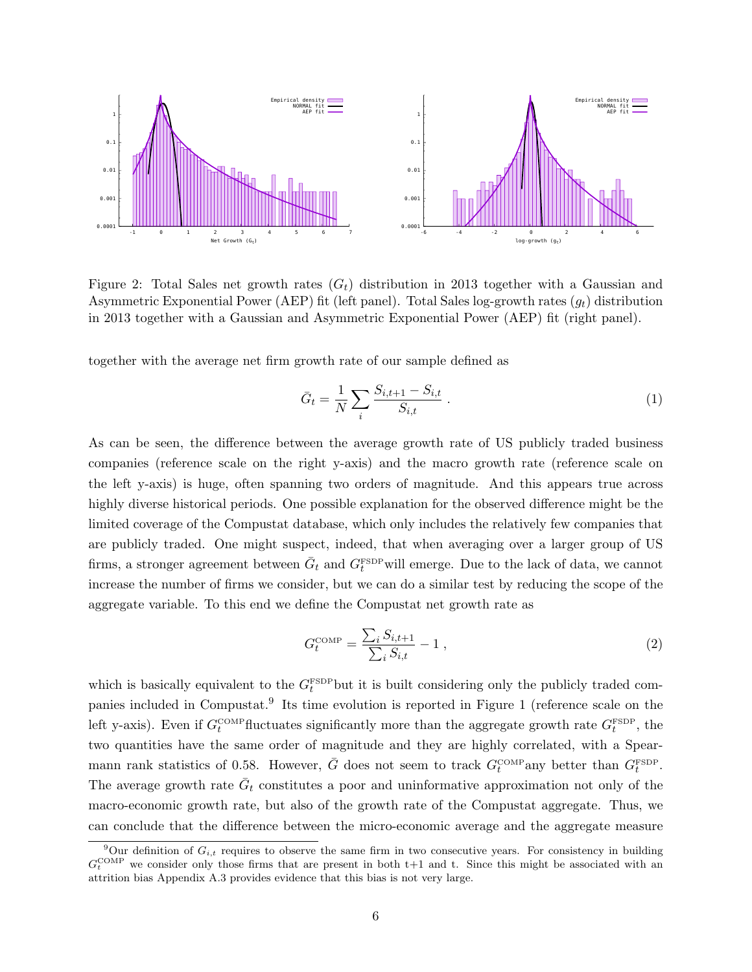

Figure 2: Total Sales net growth rates  $(G_t)$  distribution in 2013 together with a Gaussian and Asymmetric Exponential Power (AEP) fit (left panel). Total Sales log-growth rates  $(q_t)$  distribution in 2013 together with a Gaussian and Asymmetric Exponential Power (AEP) fit (right panel).

together with the average net firm growth rate of our sample defined as

$$
\bar{G}_t = \frac{1}{N} \sum_{i} \frac{S_{i,t+1} - S_{i,t}}{S_{i,t}} \,. \tag{1}
$$

As can be seen, the difference between the average growth rate of US publicly traded business companies (reference scale on the right y-axis) and the macro growth rate (reference scale on the left y-axis) is huge, often spanning two orders of magnitude. And this appears true across highly diverse historical periods. One possible explanation for the observed difference might be the limited coverage of the Compustat database, which only includes the relatively few companies that are publicly traded. One might suspect, indeed, that when averaging over a larger group of US firms, a stronger agreement between  $\bar{G}_t$  and  $G_t^{\text{FSDP}}$  will emerge. Due to the lack of data, we cannot increase the number of firms we consider, but we can do a similar test by reducing the scope of the aggregate variable. To this end we define the Compustat net growth rate as

$$
G_t^{\text{COMP}} = \frac{\sum_{i} S_{i,t+1}}{\sum_{i} S_{i,t}} - 1 , \qquad (2)
$$

which is basically equivalent to the  $G_t^{\text{FSDP}}$  but it is built considering only the publicly traded companies included in Compustat.<sup>9</sup> Its time evolution is reported in Figure 1 (reference scale on the left y-axis). Even if  $G_t^{\text{COMP}}$  fluctuates significantly more than the aggregate growth rate  $G_t^{\text{FSDP}}$ , the two quantities have the same order of magnitude and they are highly correlated, with a Spearmann rank statistics of 0.58. However,  $\bar{G}$  does not seem to track  $G_t^{\text{COMP}}$  any better than  $G_t^{\text{FSDP}}$ . The average growth rate  $\bar{G}_t$  constitutes a poor and uninformative approximation not only of the macro-economic growth rate, but also of the growth rate of the Compustat aggregate. Thus, we can conclude that the difference between the micro-economic average and the aggregate measure

<sup>&</sup>lt;sup>9</sup>Our definition of  $G_{i,t}$  requires to observe the same firm in two consecutive years. For consistency in building  $G_t^{\text{COMP}}$  we consider only those firms that are present in both t+1 and t. Since this might be associated with an attrition bias Appendix A.3 provides evidence that this bias is not very large.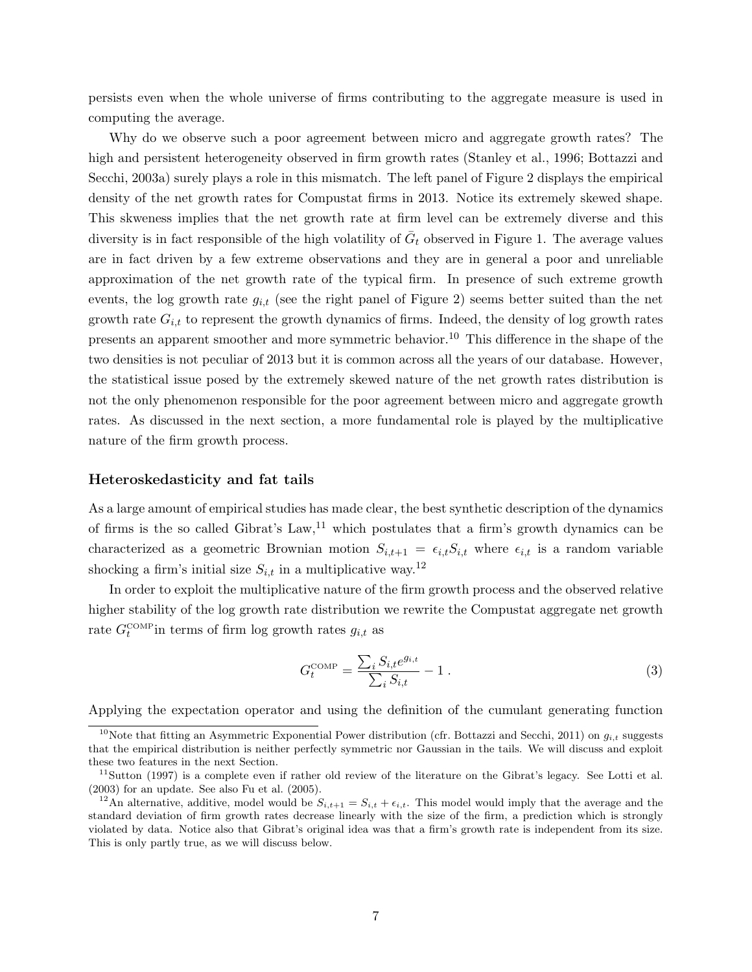persists even when the whole universe of firms contributing to the aggregate measure is used in computing the average.

Why do we observe such a poor agreement between micro and aggregate growth rates? The high and persistent heterogeneity observed in firm growth rates (Stanley et al., 1996; Bottazzi and Secchi, 2003a) surely plays a role in this mismatch. The left panel of Figure 2 displays the empirical density of the net growth rates for Compustat firms in 2013. Notice its extremely skewed shape. This skweness implies that the net growth rate at firm level can be extremely diverse and this diversity is in fact responsible of the high volatility of  $\bar{G}_t$  observed in Figure 1. The average values are in fact driven by a few extreme observations and they are in general a poor and unreliable approximation of the net growth rate of the typical firm. In presence of such extreme growth events, the log growth rate  $g_{i,t}$  (see the right panel of Figure 2) seems better suited than the net growth rate  $G_{i,t}$  to represent the growth dynamics of firms. Indeed, the density of log growth rates presents an apparent smoother and more symmetric behavior.<sup>10</sup> This difference in the shape of the two densities is not peculiar of 2013 but it is common across all the years of our database. However, the statistical issue posed by the extremely skewed nature of the net growth rates distribution is not the only phenomenon responsible for the poor agreement between micro and aggregate growth rates. As discussed in the next section, a more fundamental role is played by the multiplicative nature of the firm growth process.

#### Heteroskedasticity and fat tails

As a large amount of empirical studies has made clear, the best synthetic description of the dynamics of firms is the so called Gibrat's Law,  $11$  which postulates that a firm's growth dynamics can be characterized as a geometric Brownian motion  $S_{i,t+1} = \epsilon_{i,t}S_{i,t}$  where  $\epsilon_{i,t}$  is a random variable shocking a firm's initial size  $S_{i,t}$  in a multiplicative way.<sup>12</sup>

In order to exploit the multiplicative nature of the firm growth process and the observed relative higher stability of the log growth rate distribution we rewrite the Compustat aggregate net growth rate  $G_t^{\text{COMP}}$  in terms of firm log growth rates  $g_{i,t}$  as

$$
G_t^{\text{COMP}} = \frac{\sum_{i} S_{i,t} e^{g_{i,t}}}{\sum_{i} S_{i,t}} - 1 \tag{3}
$$

Applying the expectation operator and using the definition of the cumulant generating function

<sup>&</sup>lt;sup>10</sup>Note that fitting an Asymmetric Exponential Power distribution (cfr. Bottazzi and Secchi, 2011) on  $q_{i,t}$  suggests that the empirical distribution is neither perfectly symmetric nor Gaussian in the tails. We will discuss and exploit these two features in the next Section.

 $11$ Sutton (1997) is a complete even if rather old review of the literature on the Gibrat's legacy. See Lotti et al. (2003) for an update. See also Fu et al. (2005).

<sup>&</sup>lt;sup>12</sup>An alternative, additive, model would be  $S_{i,t+1} = S_{i,t} + \epsilon_{i,t}$ . This model would imply that the average and the standard deviation of firm growth rates decrease linearly with the size of the firm, a prediction which is strongly violated by data. Notice also that Gibrat's original idea was that a firm's growth rate is independent from its size. This is only partly true, as we will discuss below.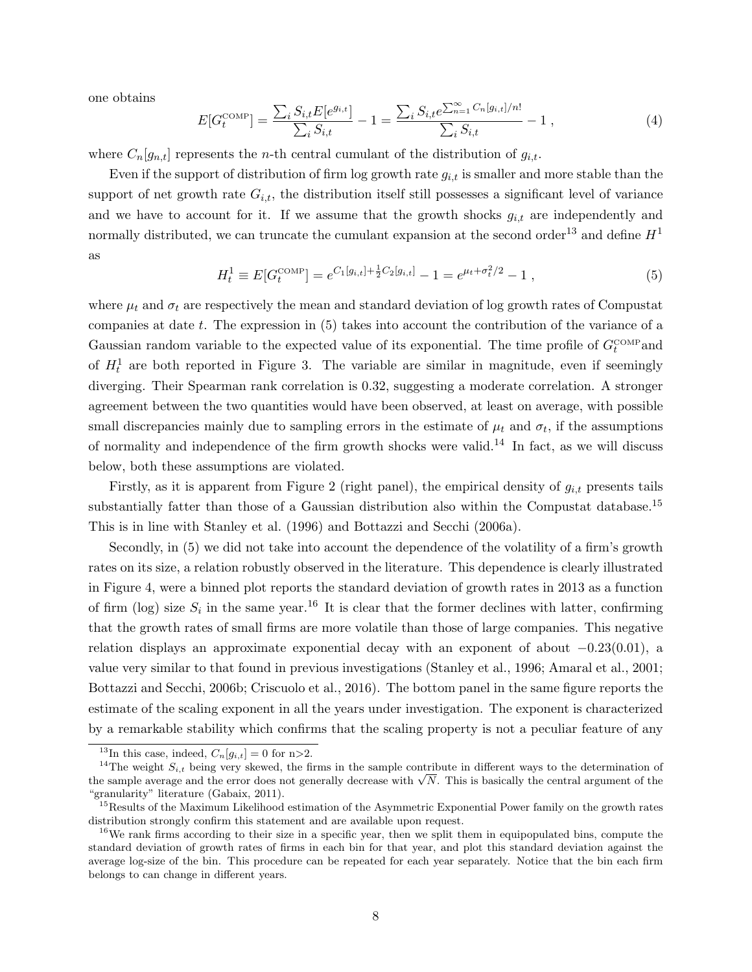one obtains

$$
E[G_t^{\text{COMP}}] = \frac{\sum_i S_{i,t} E[e^{g_{i,t}}]}{\sum_i S_{i,t}} - 1 = \frac{\sum_i S_{i,t} e^{\sum_{n=1}^{\infty} C_n [g_{i,t}]/n!}}{\sum_i S_{i,t}} - 1,
$$
\n(4)

where  $C_n[g_{n,t}]$  represents the *n*-th central cumulant of the distribution of  $g_{i,t}$ .

Even if the support of distribution of firm log growth rate  $g_{i,t}$  is smaller and more stable than the support of net growth rate  $G_{i,t}$ , the distribution itself still possesses a significant level of variance and we have to account for it. If we assume that the growth shocks  $g_{i,t}$  are independently and normally distributed, we can truncate the cumulant expansion at the second order<sup>13</sup> and define  $H<sup>1</sup>$ as

$$
H_t^1 \equiv E[G_t^{\text{COMP}}] = e^{C_1[g_{i,t}] + \frac{1}{2}C_2[g_{i,t}]} - 1 = e^{\mu_t + \sigma_t^2/2} - 1 \,, \tag{5}
$$

where  $\mu_t$  and  $\sigma_t$  are respectively the mean and standard deviation of log growth rates of Compustat companies at date t. The expression in (5) takes into account the contribution of the variance of a Gaussian random variable to the expected value of its exponential. The time profile of  $G_t^{\text{COMP}}$  and of  $H_t^1$  are both reported in Figure 3. The variable are similar in magnitude, even if seemingly diverging. Their Spearman rank correlation is 0.32, suggesting a moderate correlation. A stronger agreement between the two quantities would have been observed, at least on average, with possible small discrepancies mainly due to sampling errors in the estimate of  $\mu_t$  and  $\sigma_t$ , if the assumptions of normality and independence of the firm growth shocks were valid.<sup>14</sup> In fact, as we will discuss below, both these assumptions are violated.

Firstly, as it is apparent from Figure 2 (right panel), the empirical density of  $g_{i,t}$  presents tails substantially fatter than those of a Gaussian distribution also within the Compustat database.<sup>15</sup> This is in line with Stanley et al. (1996) and Bottazzi and Secchi (2006a).

Secondly, in (5) we did not take into account the dependence of the volatility of a firm's growth rates on its size, a relation robustly observed in the literature. This dependence is clearly illustrated in Figure 4, were a binned plot reports the standard deviation of growth rates in 2013 as a function of firm (log) size  $S_i$  in the same year.<sup>16</sup> It is clear that the former declines with latter, confirming that the growth rates of small firms are more volatile than those of large companies. This negative relation displays an approximate exponential decay with an exponent of about  $-0.23(0.01)$ , a value very similar to that found in previous investigations (Stanley et al., 1996; Amaral et al., 2001; Bottazzi and Secchi, 2006b; Criscuolo et al., 2016). The bottom panel in the same figure reports the estimate of the scaling exponent in all the years under investigation. The exponent is characterized by a remarkable stability which confirms that the scaling property is not a peculiar feature of any

<sup>&</sup>lt;sup>13</sup>In this case, indeed,  $C_n[g_{i,t}] = 0$  for n>2.

<sup>&</sup>lt;sup>14</sup>The weight  $S_{i,t}$  being very skewed, the firms in the sample contribute in different ways to the determination of the sample average and the error does not generally decrease with  $\sqrt{N}$ . This is basically the central argument of the "granularity" literature (Gabaix, 2011).

<sup>&</sup>lt;sup>15</sup>Results of the Maximum Likelihood estimation of the Asymmetric Exponential Power family on the growth rates distribution strongly confirm this statement and are available upon request.

<sup>&</sup>lt;sup>16</sup>We rank firms according to their size in a specific year, then we split them in equipopulated bins, compute the standard deviation of growth rates of firms in each bin for that year, and plot this standard deviation against the average log-size of the bin. This procedure can be repeated for each year separately. Notice that the bin each firm belongs to can change in different years.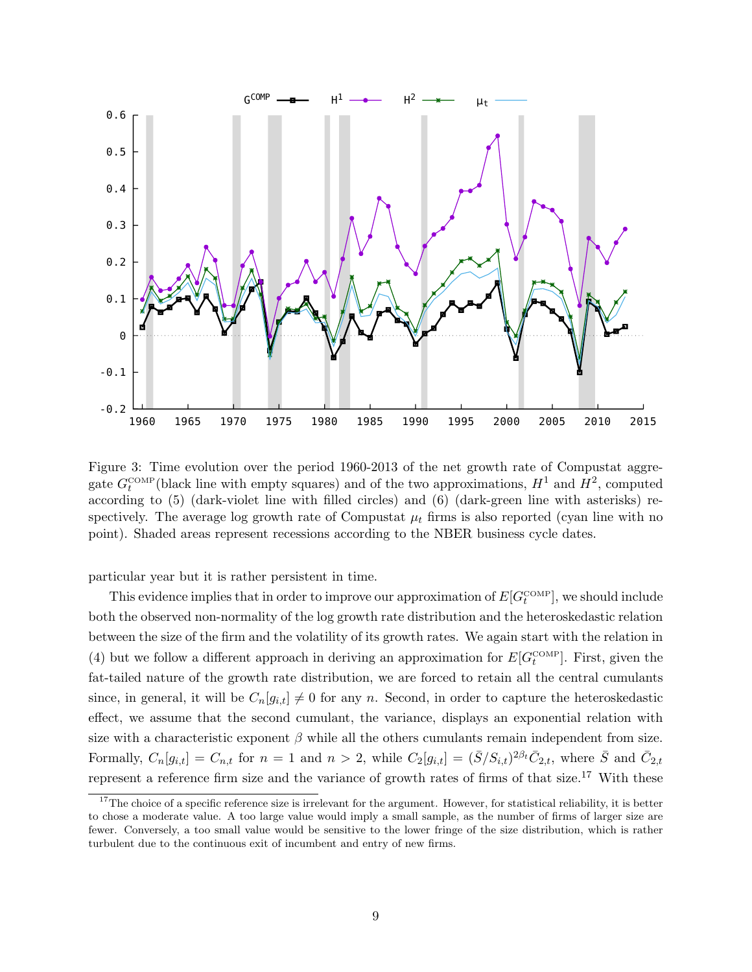

Figure 3: Time evolution over the period 1960-2013 of the net growth rate of Compustat aggregate  $G_t^{\text{COMP}}$  (black line with empty squares) and of the two approximations,  $H^1$  and  $H^2$ , computed according to (5) (dark-violet line with filled circles) and (6) (dark-green line with asterisks) respectively. The average log growth rate of Compustat  $\mu_t$  firms is also reported (cyan line with no point). Shaded areas represent recessions according to the NBER business cycle dates.

particular year but it is rather persistent in time.

This evidence implies that in order to improve our approximation of  $E[G_t^{\text{COMP}}]$ , we should include both the observed non-normality of the log growth rate distribution and the heteroskedastic relation between the size of the firm and the volatility of its growth rates. We again start with the relation in (4) but we follow a different approach in deriving an approximation for  $E[G_t^{\text{COMP}}]$ . First, given the fat-tailed nature of the growth rate distribution, we are forced to retain all the central cumulants since, in general, it will be  $C_n[g_{i,t}] \neq 0$  for any n. Second, in order to capture the heteroskedastic effect, we assume that the second cumulant, the variance, displays an exponential relation with size with a characteristic exponent  $\beta$  while all the others cumulants remain independent from size. Formally,  $C_n[g_{i,t}] = C_{n,t}$  for  $n = 1$  and  $n > 2$ , while  $C_2[g_{i,t}] = (\bar{S}/S_{i,t})^{2\beta_t} \bar{C}_{2,t}$ , where  $\bar{S}$  and  $\bar{C}_{2,t}$ represent a reference firm size and the variance of growth rates of firms of that size.<sup>17</sup> With these

 $17$ The choice of a specific reference size is irrelevant for the argument. However, for statistical reliability, it is better to chose a moderate value. A too large value would imply a small sample, as the number of firms of larger size are fewer. Conversely, a too small value would be sensitive to the lower fringe of the size distribution, which is rather turbulent due to the continuous exit of incumbent and entry of new firms.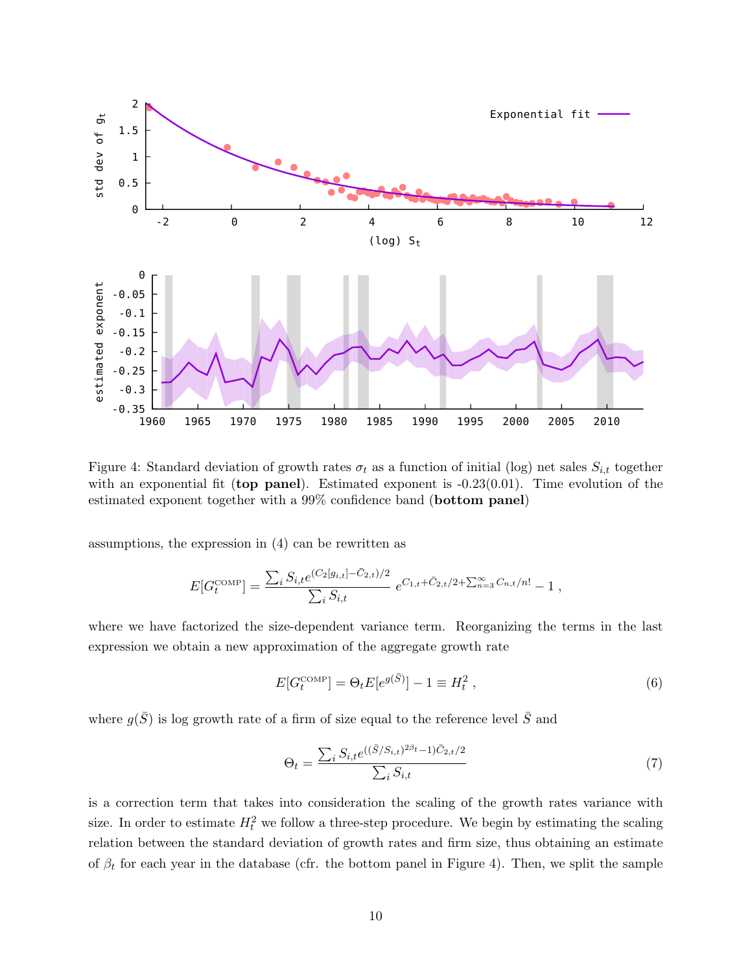

Figure 4: Standard deviation of growth rates  $\sigma_t$  as a function of initial (log) net sales  $S_{i,t}$  together with an exponential fit (top panel). Estimated exponent is  $-0.23(0.01)$ . Time evolution of the estimated exponent together with a 99% confidence band (bottom panel)

assumptions, the expression in (4) can be rewritten as

$$
E[G_t^{\text{COMP}}] = \frac{\sum_i S_{i,t} e^{(C_2[g_{i,t}] - \bar{C}_{2,t})/2}}{\sum_i S_{i,t}} e^{C_{1,t} + \bar{C}_{2,t}/2 + \sum_{n=3}^{\infty} C_{n,t}/n!} - 1,
$$

where we have factorized the size-dependent variance term. Reorganizing the terms in the last expression we obtain a new approximation of the aggregate growth rate

$$
E[G_t^{\text{COMP}}] = \Theta_t E[e^{g(\bar{S})}] - 1 \equiv H_t^2 , \qquad (6)
$$

where  $g(\bar{S})$  is log growth rate of a firm of size equal to the reference level  $\bar{S}$  and

$$
\Theta_t = \frac{\sum_i S_{i,t} e^{((\bar{S}/S_{i,t})^{2\beta_t} - 1)\bar{C}_{2,t}/2}}{\sum_i S_{i,t}}
$$
(7)

is a correction term that takes into consideration the scaling of the growth rates variance with size. In order to estimate  $H_t^2$  we follow a three-step procedure. We begin by estimating the scaling relation between the standard deviation of growth rates and firm size, thus obtaining an estimate of  $\beta_t$  for each year in the database (cfr. the bottom panel in Figure 4). Then, we split the sample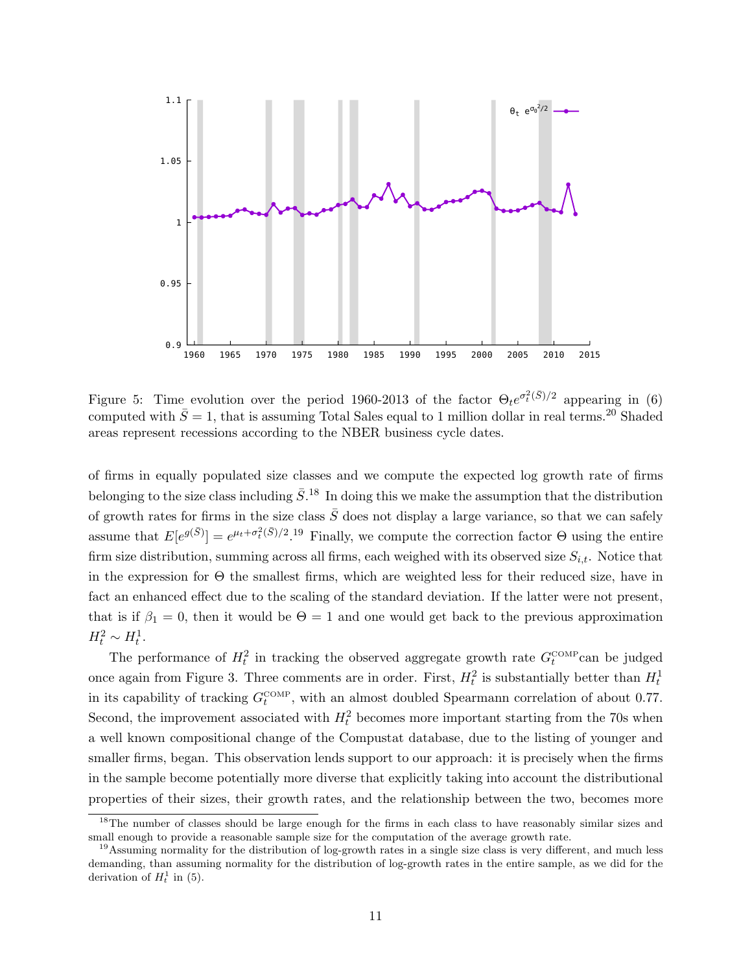

Figure 5: Time evolution over the period 1960-2013 of the factor  $\Theta_t e^{\sigma_t^2(\bar{S})/2}$  appearing in (6) computed with  $\bar{S} = 1$ , that is assuming Total Sales equal to 1 million dollar in real terms.<sup>20</sup> Shaded areas represent recessions according to the NBER business cycle dates.

of firms in equally populated size classes and we compute the expected log growth rate of firms belonging to the size class including  $\bar{S}$ .<sup>18</sup> In doing this we make the assumption that the distribution of growth rates for firms in the size class  $\overline{S}$  does not display a large variance, so that we can safely assume that  $E[e^{g(\bar{S})}] = e^{\mu_t + \sigma_t^2(\bar{S})/2}$ .<sup>19</sup> Finally, we compute the correction factor  $\Theta$  using the entire firm size distribution, summing across all firms, each weighed with its observed size  $S_{i,t}$ . Notice that in the expression for  $\Theta$  the smallest firms, which are weighted less for their reduced size, have in fact an enhanced effect due to the scaling of the standard deviation. If the latter were not present, that is if  $\beta_1 = 0$ , then it would be  $\Theta = 1$  and one would get back to the previous approximation  $H_t^2 \sim H_t^1$ .

The performance of  $H_t^2$  in tracking the observed aggregate growth rate  $G_t^{\text{COMP}}$ can be judged once again from Figure 3. Three comments are in order. First,  $H_t^2$  is substantially better than  $H_t^1$ in its capability of tracking  $G_t^{\text{COMP}}$ , with an almost doubled Spearmann correlation of about 0.77. Second, the improvement associated with  $H_t^2$  becomes more important starting from the 70s when a well known compositional change of the Compustat database, due to the listing of younger and smaller firms, began. This observation lends support to our approach: it is precisely when the firms in the sample become potentially more diverse that explicitly taking into account the distributional properties of their sizes, their growth rates, and the relationship between the two, becomes more

<sup>&</sup>lt;sup>18</sup>The number of classes should be large enough for the firms in each class to have reasonably similar sizes and small enough to provide a reasonable sample size for the computation of the average growth rate.

 $19$ Assuming normality for the distribution of log-growth rates in a single size class is very different, and much less demanding, than assuming normality for the distribution of log-growth rates in the entire sample, as we did for the derivation of  $H_t^1$  in (5).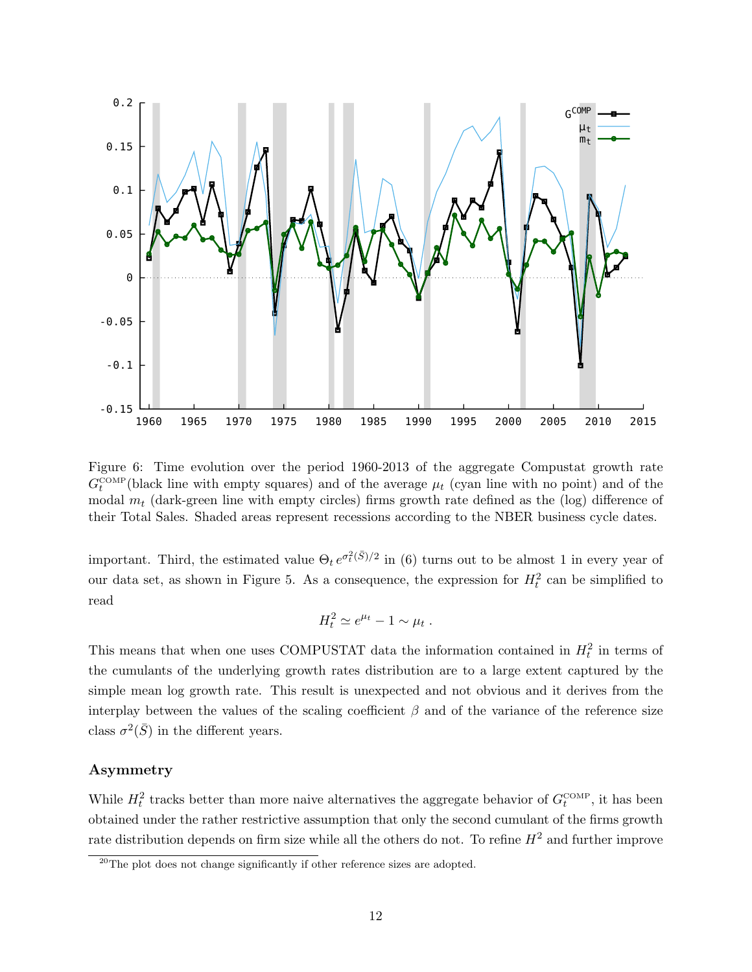

Figure 6: Time evolution over the period 1960-2013 of the aggregate Compustat growth rate  $G_t^{\text{COMP}}$ (black line with empty squares) and of the average  $\mu_t$  (cyan line with no point) and of the modal  $m_t$  (dark-green line with empty circles) firms growth rate defined as the (log) difference of their Total Sales. Shaded areas represent recessions according to the NBER business cycle dates.

important. Third, the estimated value  $\Theta_t e^{\sigma_t^2(\bar{S})/2}$  in (6) turns out to be almost 1 in every year of our data set, as shown in Figure 5. As a consequence, the expression for  $H_t^2$  can be simplified to read

$$
H_t^2 \simeq e^{\mu_t} - 1 \sim \mu_t.
$$

This means that when one uses COMPUSTAT data the information contained in  $H_t^2$  in terms of the cumulants of the underlying growth rates distribution are to a large extent captured by the simple mean log growth rate. This result is unexpected and not obvious and it derives from the interplay between the values of the scaling coefficient  $\beta$  and of the variance of the reference size class  $\sigma^2(\bar{S})$  in the different years.

#### Asymmetry

While  $H_t^2$  tracks better than more naive alternatives the aggregate behavior of  $G_t^{\text{COMP}}$ , it has been obtained under the rather restrictive assumption that only the second cumulant of the firms growth rate distribution depends on firm size while all the others do not. To refine  $H<sup>2</sup>$  and further improve

<sup>&</sup>lt;sup>20</sup>The plot does not change significantly if other reference sizes are adopted.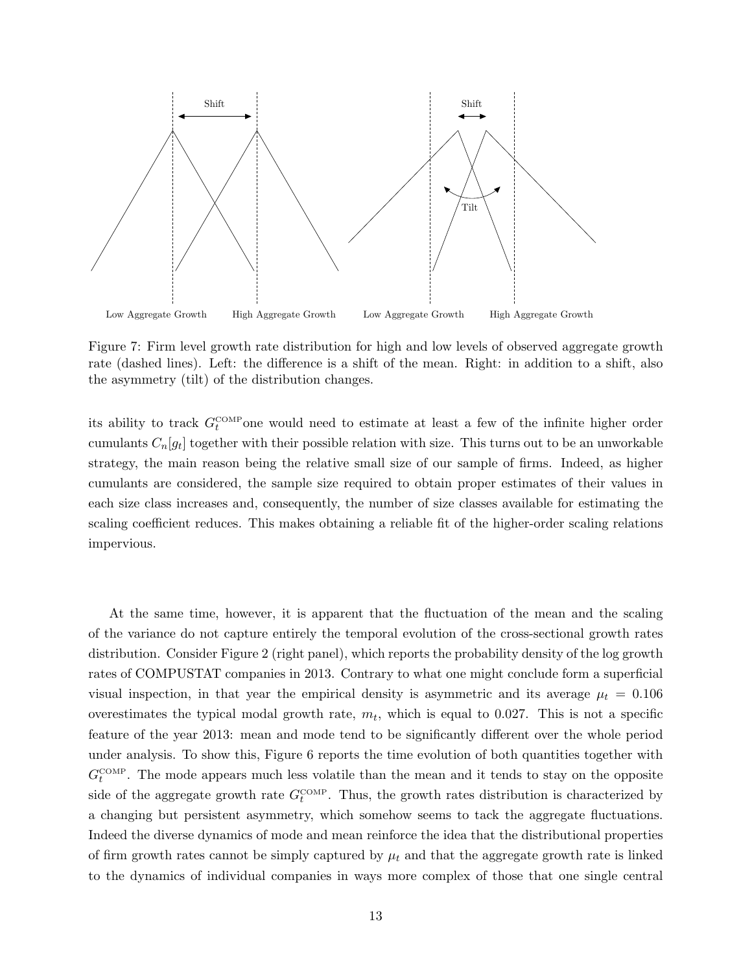

Figure 7: Firm level growth rate distribution for high and low levels of observed aggregate growth rate (dashed lines). Left: the difference is a shift of the mean. Right: in addition to a shift, also the asymmetry (tilt) of the distribution changes.

its ability to track  $G_t^{\text{COMP}}$  one would need to estimate at least a few of the infinite higher order cumulants  $C_n[g_t]$  together with their possible relation with size. This turns out to be an unworkable strategy, the main reason being the relative small size of our sample of firms. Indeed, as higher cumulants are considered, the sample size required to obtain proper estimates of their values in each size class increases and, consequently, the number of size classes available for estimating the scaling coefficient reduces. This makes obtaining a reliable fit of the higher-order scaling relations impervious.

At the same time, however, it is apparent that the fluctuation of the mean and the scaling of the variance do not capture entirely the temporal evolution of the cross-sectional growth rates distribution. Consider Figure 2 (right panel), which reports the probability density of the log growth rates of COMPUSTAT companies in 2013. Contrary to what one might conclude form a superficial visual inspection, in that year the empirical density is asymmetric and its average  $\mu_t = 0.106$ overestimates the typical modal growth rate,  $m_t$ , which is equal to 0.027. This is not a specific feature of the year 2013: mean and mode tend to be significantly different over the whole period under analysis. To show this, Figure 6 reports the time evolution of both quantities together with  $G_t^{\text{COMP}}$ . The mode appears much less volatile than the mean and it tends to stay on the opposite side of the aggregate growth rate  $G_t^{\text{COMP}}$ . Thus, the growth rates distribution is characterized by a changing but persistent asymmetry, which somehow seems to tack the aggregate fluctuations. Indeed the diverse dynamics of mode and mean reinforce the idea that the distributional properties of firm growth rates cannot be simply captured by  $\mu_t$  and that the aggregate growth rate is linked to the dynamics of individual companies in ways more complex of those that one single central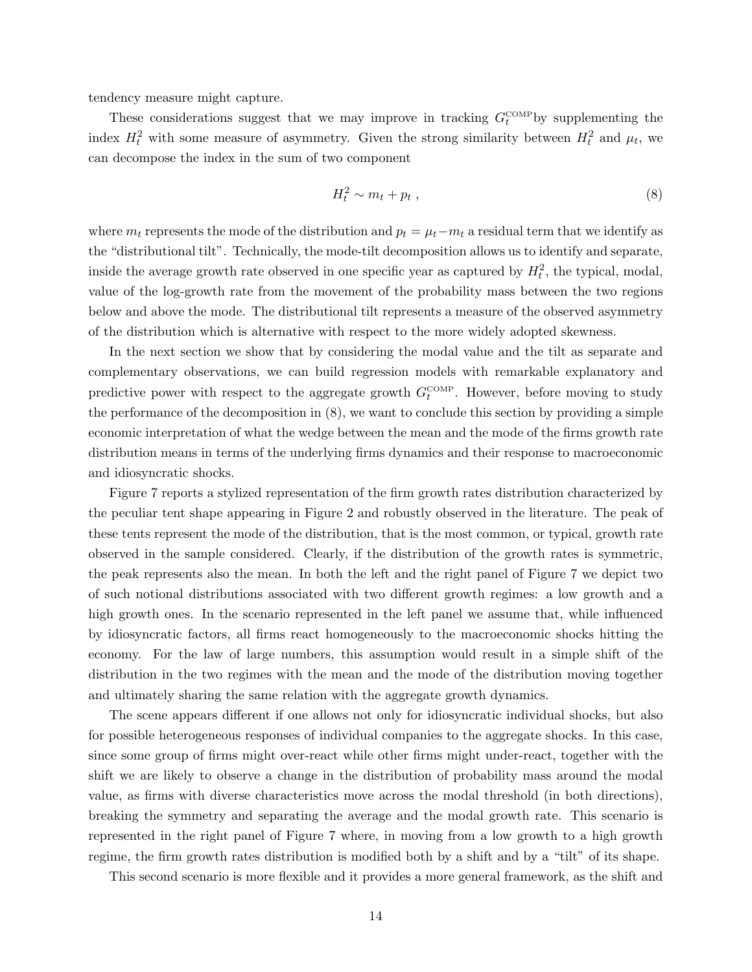tendency measure might capture.

These considerations suggest that we may improve in tracking  $G_t^{\text{COMP}}$  by supplementing the index  $H_t^2$  with some measure of asymmetry. Given the strong similarity between  $H_t^2$  and  $\mu_t$ , we can decompose the index in the sum of two component

$$
H_t^2 \sim m_t + p_t \,, \tag{8}
$$

where  $m_t$  represents the mode of the distribution and  $p_t = \mu_t - m_t$  a residual term that we identify as the "distributional tilt". Technically, the mode-tilt decomposition allows us to identify and separate, inside the average growth rate observed in one specific year as captured by  $H_t^2$ , the typical, modal, value of the log-growth rate from the movement of the probability mass between the two regions below and above the mode. The distributional tilt represents a measure of the observed asymmetry of the distribution which is alternative with respect to the more widely adopted skewness.

In the next section we show that by considering the modal value and the tilt as separate and complementary observations, we can build regression models with remarkable explanatory and predictive power with respect to the aggregate growth  $G_t^{\text{COMP}}$ . However, before moving to study the performance of the decomposition in (8), we want to conclude this section by providing a simple economic interpretation of what the wedge between the mean and the mode of the firms growth rate distribution means in terms of the underlying firms dynamics and their response to macroeconomic and idiosyncratic shocks.

Figure 7 reports a stylized representation of the firm growth rates distribution characterized by the peculiar tent shape appearing in Figure 2 and robustly observed in the literature. The peak of these tents represent the mode of the distribution, that is the most common, or typical, growth rate observed in the sample considered. Clearly, if the distribution of the growth rates is symmetric, the peak represents also the mean. In both the left and the right panel of Figure 7 we depict two of such notional distributions associated with two different growth regimes: a low growth and a high growth ones. In the scenario represented in the left panel we assume that, while influenced by idiosyncratic factors, all firms react homogeneously to the macroeconomic shocks hitting the economy. For the law of large numbers, this assumption would result in a simple shift of the distribution in the two regimes with the mean and the mode of the distribution moving together and ultimately sharing the same relation with the aggregate growth dynamics.

The scene appears different if one allows not only for idiosyncratic individual shocks, but also for possible heterogeneous responses of individual companies to the aggregate shocks. In this case, since some group of firms might over-react while other firms might under-react, together with the shift we are likely to observe a change in the distribution of probability mass around the modal value, as firms with diverse characteristics move across the modal threshold (in both directions), breaking the symmetry and separating the average and the modal growth rate. This scenario is represented in the right panel of Figure 7 where, in moving from a low growth to a high growth regime, the firm growth rates distribution is modified both by a shift and by a "tilt" of its shape.

This second scenario is more flexible and it provides a more general framework, as the shift and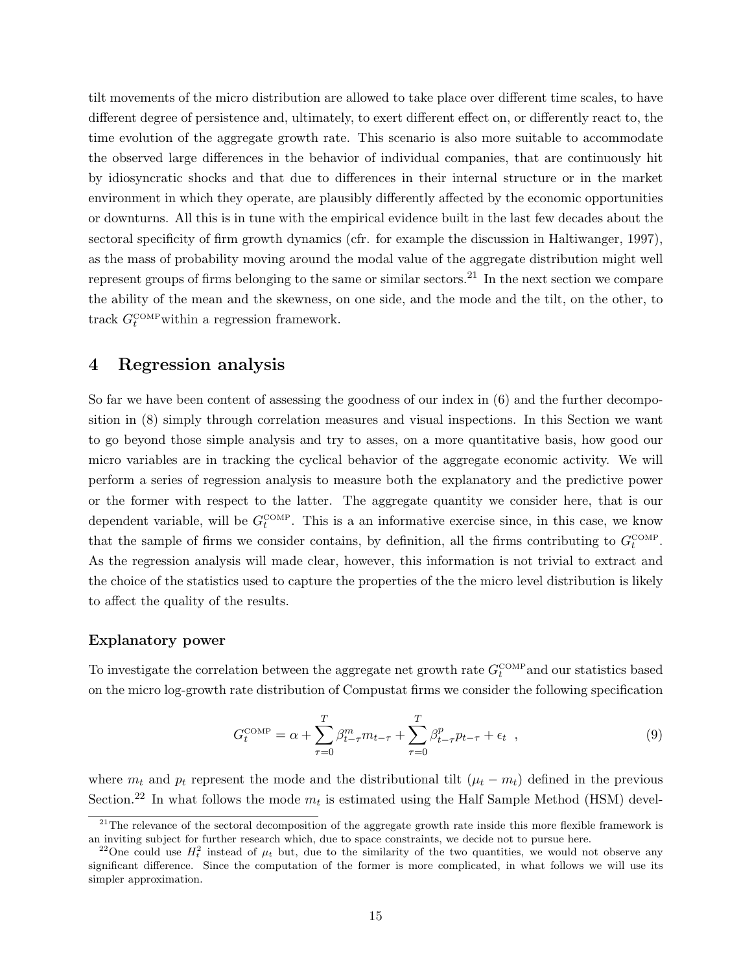tilt movements of the micro distribution are allowed to take place over different time scales, to have different degree of persistence and, ultimately, to exert different effect on, or differently react to, the time evolution of the aggregate growth rate. This scenario is also more suitable to accommodate the observed large differences in the behavior of individual companies, that are continuously hit by idiosyncratic shocks and that due to differences in their internal structure or in the market environment in which they operate, are plausibly differently affected by the economic opportunities or downturns. All this is in tune with the empirical evidence built in the last few decades about the sectoral specificity of firm growth dynamics (cfr. for example the discussion in Haltiwanger, 1997), as the mass of probability moving around the modal value of the aggregate distribution might well represent groups of firms belonging to the same or similar sectors.<sup>21</sup> In the next section we compare the ability of the mean and the skewness, on one side, and the mode and the tilt, on the other, to track  $G_t^{\text{COMP}}$  within a regression framework.

# 4 Regression analysis

So far we have been content of assessing the goodness of our index in (6) and the further decomposition in (8) simply through correlation measures and visual inspections. In this Section we want to go beyond those simple analysis and try to asses, on a more quantitative basis, how good our micro variables are in tracking the cyclical behavior of the aggregate economic activity. We will perform a series of regression analysis to measure both the explanatory and the predictive power or the former with respect to the latter. The aggregate quantity we consider here, that is our dependent variable, will be  $G_t^{\text{COMP}}$ . This is a an informative exercise since, in this case, we know that the sample of firms we consider contains, by definition, all the firms contributing to  $G_t^{\text{COMP}}$ . As the regression analysis will made clear, however, this information is not trivial to extract and the choice of the statistics used to capture the properties of the the micro level distribution is likely to affect the quality of the results.

#### Explanatory power

To investigate the correlation between the aggregate net growth rate  $G_t^{\text{COMP}}$  and our statistics based on the micro log-growth rate distribution of Compustat firms we consider the following specification

$$
G_t^{\text{COMP}} = \alpha + \sum_{\tau=0}^T \beta_{t-\tau}^m m_{t-\tau} + \sum_{\tau=0}^T \beta_{t-\tau}^p p_{t-\tau} + \epsilon_t \quad , \tag{9}
$$

where  $m_t$  and  $p_t$  represent the mode and the distributional tilt  $(\mu_t - m_t)$  defined in the previous Section.<sup>22</sup> In what follows the mode  $m_t$  is estimated using the Half Sample Method (HSM) devel-

 $21$ The relevance of the sectoral decomposition of the aggregate growth rate inside this more flexible framework is an inviting subject for further research which, due to space constraints, we decide not to pursue here.

<sup>&</sup>lt;sup>22</sup>One could use  $H_t^2$  instead of  $\mu_t$  but, due to the similarity of the two quantities, we would not observe any significant difference. Since the computation of the former is more complicated, in what follows we will use its simpler approximation.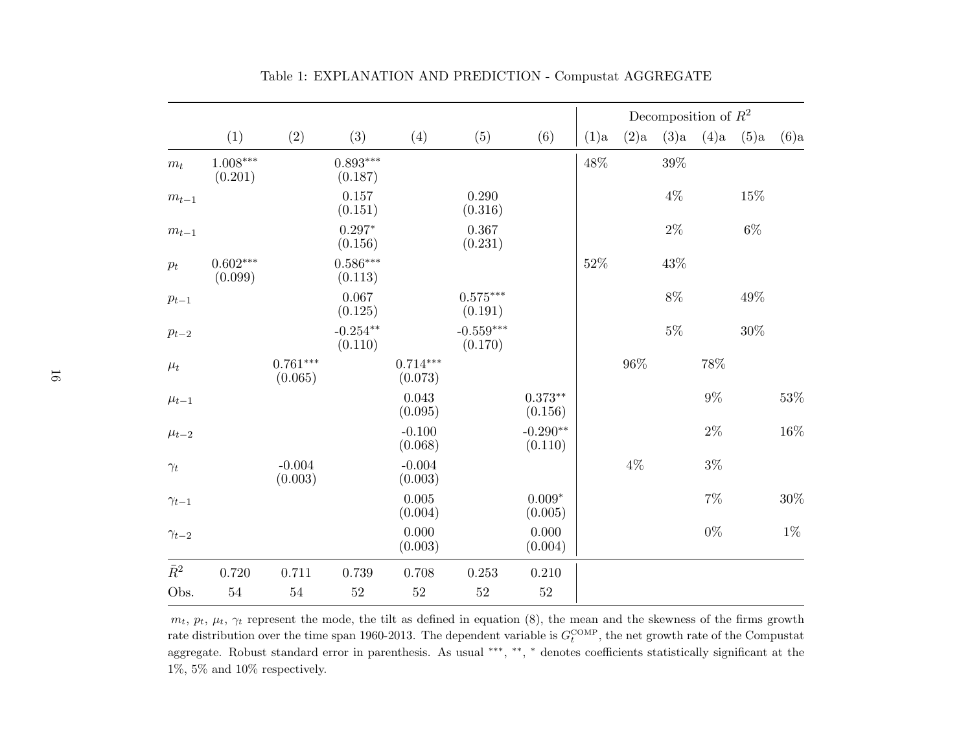|                |                       |                       |                       |                       |                                   |                       |      |       | Decomposition of $R^2$ |       |         |        |  |  |  |
|----------------|-----------------------|-----------------------|-----------------------|-----------------------|-----------------------------------|-----------------------|------|-------|------------------------|-------|---------|--------|--|--|--|
|                | (1)                   | (2)                   | (3)                   | (4)                   | (5)                               | (6)                   | (1)a | (2)a  | (3)a                   | (4)a  | $(5)$ a | (6)a   |  |  |  |
| $m_t$          | $1.008***$<br>(0.201) |                       | $0.893***$<br>(0.187) |                       |                                   |                       | 48%  |       | $39\%$                 |       |         |        |  |  |  |
| $m_{t-1}$      |                       |                       | 0.157<br>(0.151)      |                       | 0.290<br>(0.316)                  |                       |      |       | $4\%$                  |       | 15%     |        |  |  |  |
| $m_{t-1}$      |                       |                       | $0.297*$<br>(0.156)   |                       | 0.367<br>(0.231)                  |                       |      |       | $2\%$                  |       | $6\%$   |        |  |  |  |
| $p_{t}$        | $0.602***$<br>(0.099) |                       | $0.586***$<br>(0.113) |                       |                                   |                       | 52%  |       | 43%                    |       |         |        |  |  |  |
| $p_{t-1}$      |                       |                       | 0.067<br>(0.125)      |                       | $0.575^{\ast\ast\ast}$<br>(0.191) |                       |      |       | $8\%$                  |       | 49%     |        |  |  |  |
| $p_{t-2}$      |                       |                       | $-0.254**$<br>(0.110) |                       | $-0.559***$<br>(0.170)            |                       |      |       | $5\%$                  |       | $30\%$  |        |  |  |  |
| $\mu_t$        |                       | $0.761***$<br>(0.065) |                       | $0.714***$<br>(0.073) |                                   |                       |      | 96%   |                        | 78%   |         |        |  |  |  |
| $\mu_{t-1}$    |                       |                       |                       | 0.043<br>(0.095)      |                                   | $0.373**$<br>(0.156)  |      |       |                        | $9\%$ |         | $53\%$ |  |  |  |
| $\mu_{t-2}$    |                       |                       |                       | $-0.100$<br>(0.068)   |                                   | $-0.290**$<br>(0.110) |      |       |                        | $2\%$ |         | $16\%$ |  |  |  |
| $\gamma_t$     |                       | $-0.004$<br>(0.003)   |                       | $-0.004$<br>(0.003)   |                                   |                       |      | $4\%$ |                        | $3\%$ |         |        |  |  |  |
| $\gamma_{t-1}$ |                       |                       |                       | 0.005<br>(0.004)      |                                   | $0.009*$<br>(0.005)   |      |       |                        | $7\%$ |         | $30\%$ |  |  |  |
| $\gamma_{t-2}$ |                       |                       |                       | 0.000<br>(0.003)      |                                   | 0.000<br>(0.004)      |      |       |                        | $0\%$ |         | $1\%$  |  |  |  |
| $\bar{R}^2$    | 0.720                 | 0.711                 | 0.739                 | 0.708                 | 0.253                             | $0.210\,$             |      |       |                        |       |         |        |  |  |  |
| Obs.           | $54\,$                | $54\,$                | 52                    | $52\,$                | $52\,$                            | $52\,$                |      |       |                        |       |         |        |  |  |  |

Table 1: EXPLANATION AND PREDICTION - Compustat AGGREGATE

 $m_t$ ,  $p_t$ ,  $\mu_t$ ,  $\gamma_t$  represent the mode, the tilt as defined in equation (8), the mean and the skewness of the firms growth rate distribution over the time span 1960-2013. The dependent variable is  $G_t^{\text{COMP}}$ , the net growth rate of the Compustat aggregate. Robust standard error in parenthesis. As usual ∗∗∗ ,∗∗ ,∗ denotes coefficients statistically significant at the  $1\%,\,5\%$  and  $10\%$  respectively.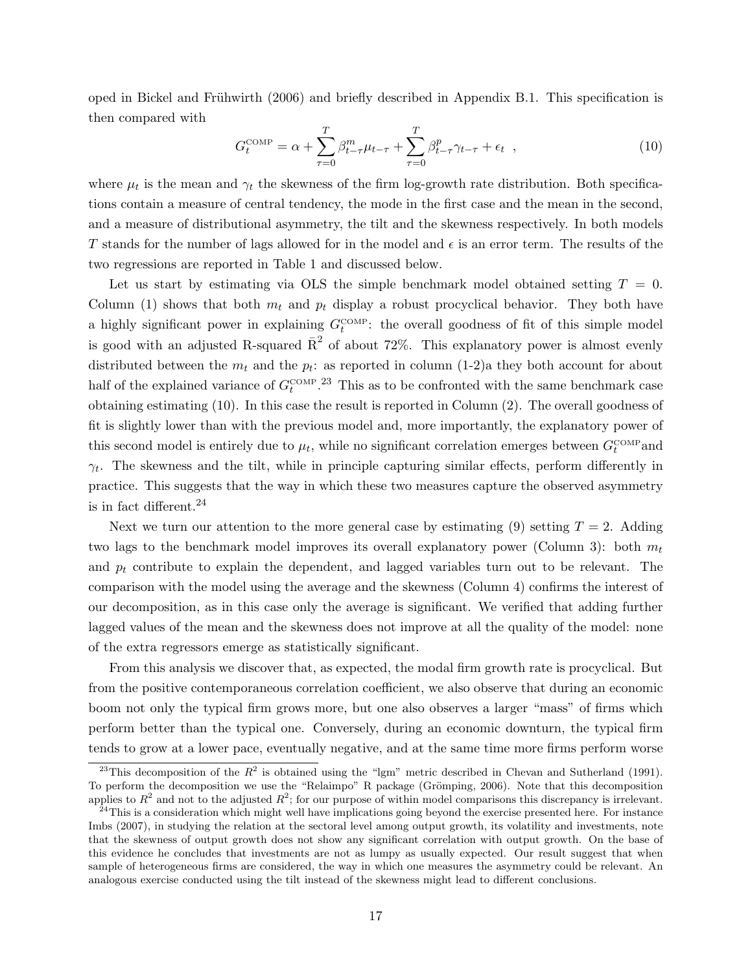oped in Bickel and Frühwirth (2006) and briefly described in Appendix B.1. This specification is then compared with

$$
G_t^{\text{COMP}} = \alpha + \sum_{\tau=0}^T \beta_{t-\tau}^m \mu_{t-\tau} + \sum_{\tau=0}^T \beta_{t-\tau}^p \gamma_{t-\tau} + \epsilon_t \quad , \tag{10}
$$

where  $\mu_t$  is the mean and  $\gamma_t$  the skewness of the firm log-growth rate distribution. Both specifications contain a measure of central tendency, the mode in the first case and the mean in the second, and a measure of distributional asymmetry, the tilt and the skewness respectively. In both models T stands for the number of lags allowed for in the model and  $\epsilon$  is an error term. The results of the two regressions are reported in Table 1 and discussed below.

Let us start by estimating via OLS the simple benchmark model obtained setting  $T = 0$ . Column (1) shows that both  $m_t$  and  $p_t$  display a robust procyclical behavior. They both have a highly significant power in explaining  $G_t^{\text{COMP}}$ : the overall goodness of fit of this simple model is good with an adjusted R-squared  $\bar{R}^2$  of about 72%. This explanatory power is almost evenly distributed between the  $m_t$  and the  $p_t$ : as reported in column (1-2)a they both account for about half of the explained variance of  $G_t^{\text{COMP}}$ .<sup>23</sup> This as to be confronted with the same benchmark case obtaining estimating (10). In this case the result is reported in Column (2). The overall goodness of fit is slightly lower than with the previous model and, more importantly, the explanatory power of this second model is entirely due to  $\mu_t$ , while no significant correlation emerges between  $G_t^{\text{COMP}}$  and  $\gamma_t$ . The skewness and the tilt, while in principle capturing similar effects, perform differently in practice. This suggests that the way in which these two measures capture the observed asymmetry is in fact different. $^{24}$ 

Next we turn our attention to the more general case by estimating (9) setting  $T = 2$ . Adding two lags to the benchmark model improves its overall explanatory power (Column 3): both  $m_t$ and  $p_t$  contribute to explain the dependent, and lagged variables turn out to be relevant. The comparison with the model using the average and the skewness (Column 4) confirms the interest of our decomposition, as in this case only the average is significant. We verified that adding further lagged values of the mean and the skewness does not improve at all the quality of the model: none of the extra regressors emerge as statistically significant.

From this analysis we discover that, as expected, the modal firm growth rate is procyclical. But from the positive contemporaneous correlation coefficient, we also observe that during an economic boom not only the typical firm grows more, but one also observes a larger "mass" of firms which perform better than the typical one. Conversely, during an economic downturn, the typical firm tends to grow at a lower pace, eventually negative, and at the same time more firms perform worse

<sup>&</sup>lt;sup>23</sup>This decomposition of the  $R^2$  is obtained using the "lgm" metric described in Chevan and Sutherland (1991). To perform the decomposition we use the "Relaimpo" R package (Grömping, 2006). Note that this decomposition applies to  $R^2$  and not to the adjusted  $R^2$ ; for our purpose of within model comparisons this discrepancy is irrelevant.

 $^{24}$ This is a consideration which might well have implications going beyond the exercise presented here. For instance Imbs (2007), in studying the relation at the sectoral level among output growth, its volatility and investments, note that the skewness of output growth does not show any significant correlation with output growth. On the base of this evidence he concludes that investments are not as lumpy as usually expected. Our result suggest that when sample of heterogeneous firms are considered, the way in which one measures the asymmetry could be relevant. An analogous exercise conducted using the tilt instead of the skewness might lead to different conclusions.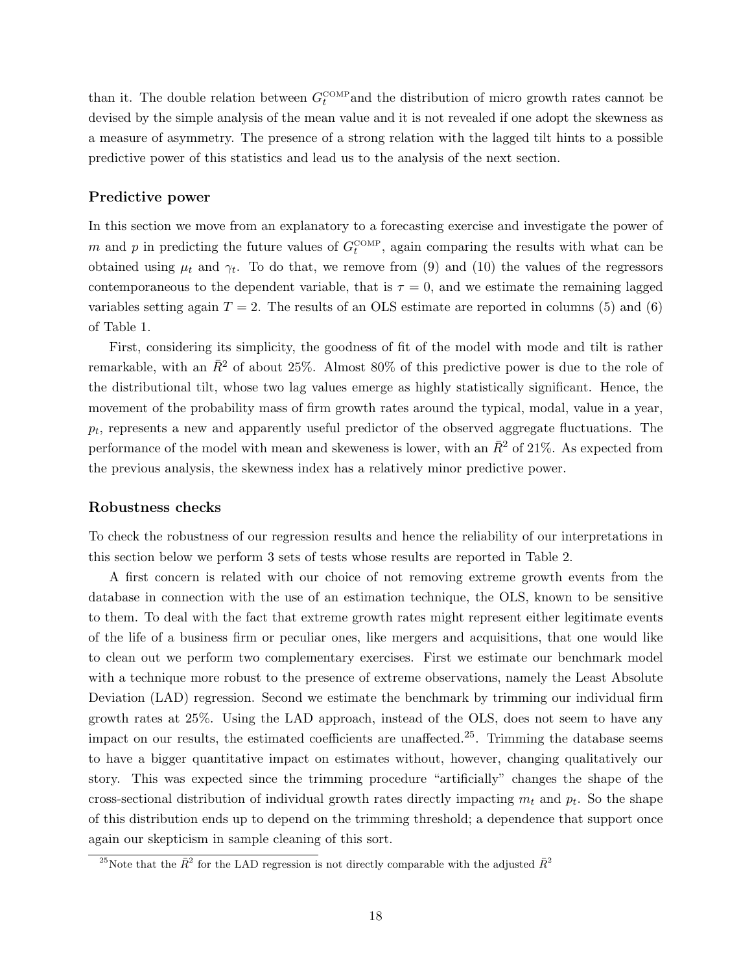than it. The double relation between  $G_t^{\text{COMP}}$  and the distribution of micro growth rates cannot be devised by the simple analysis of the mean value and it is not revealed if one adopt the skewness as a measure of asymmetry. The presence of a strong relation with the lagged tilt hints to a possible predictive power of this statistics and lead us to the analysis of the next section.

#### Predictive power

In this section we move from an explanatory to a forecasting exercise and investigate the power of m and p in predicting the future values of  $G_t^{\text{COMP}}$ , again comparing the results with what can be obtained using  $\mu_t$  and  $\gamma_t$ . To do that, we remove from (9) and (10) the values of the regressors contemporaneous to the dependent variable, that is  $\tau = 0$ , and we estimate the remaining lagged variables setting again  $T = 2$ . The results of an OLS estimate are reported in columns (5) and (6) of Table 1.

First, considering its simplicity, the goodness of fit of the model with mode and tilt is rather remarkable, with an  $\bar{R}^2$  of about 25%. Almost 80% of this predictive power is due to the role of the distributional tilt, whose two lag values emerge as highly statistically significant. Hence, the movement of the probability mass of firm growth rates around the typical, modal, value in a year,  $p_t$ , represents a new and apparently useful predictor of the observed aggregate fluctuations. The performance of the model with mean and skeweness is lower, with an  $\bar{R}^2$  of 21%. As expected from the previous analysis, the skewness index has a relatively minor predictive power.

#### Robustness checks

To check the robustness of our regression results and hence the reliability of our interpretations in this section below we perform 3 sets of tests whose results are reported in Table 2.

A first concern is related with our choice of not removing extreme growth events from the database in connection with the use of an estimation technique, the OLS, known to be sensitive to them. To deal with the fact that extreme growth rates might represent either legitimate events of the life of a business firm or peculiar ones, like mergers and acquisitions, that one would like to clean out we perform two complementary exercises. First we estimate our benchmark model with a technique more robust to the presence of extreme observations, namely the Least Absolute Deviation (LAD) regression. Second we estimate the benchmark by trimming our individual firm growth rates at 25%. Using the LAD approach, instead of the OLS, does not seem to have any impact on our results, the estimated coefficients are unaffected.<sup>25</sup>. Trimming the database seems to have a bigger quantitative impact on estimates without, however, changing qualitatively our story. This was expected since the trimming procedure "artificially" changes the shape of the cross-sectional distribution of individual growth rates directly impacting  $m_t$  and  $p_t$ . So the shape of this distribution ends up to depend on the trimming threshold; a dependence that support once again our skepticism in sample cleaning of this sort.

<sup>&</sup>lt;sup>25</sup>Note that the  $\bar{R}^2$  for the LAD regression is not directly comparable with the adjusted  $\bar{R}^2$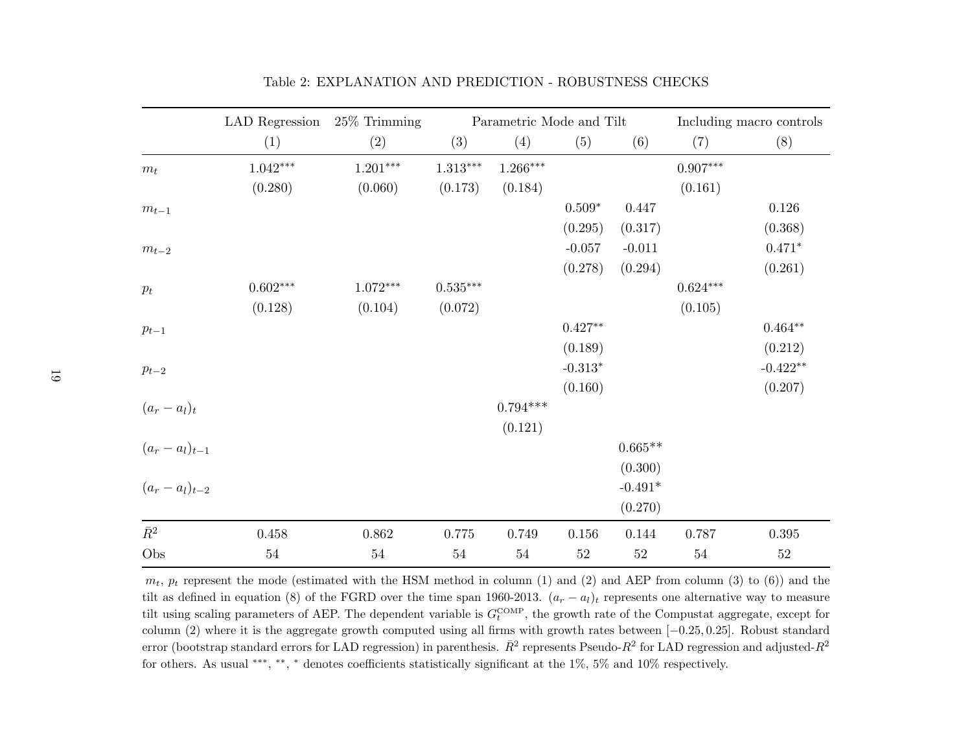|                     | LAD Regression  | $25\%$ Trimming |                        | Parametric Mode and Tilt | Including macro controls |           |                        |            |
|---------------------|-----------------|-----------------|------------------------|--------------------------|--------------------------|-----------|------------------------|------------|
|                     | (1)             | (2)             | (3)                    | (4)                      | (5)                      | (6)       | (7)                    | (8)        |
| $m_t$               | $1.042***$      | $1.201^{***}\,$ | $1.313***$             | $1.266***$               |                          |           | $0.907***$             |            |
|                     | (0.280)         | (0.060)         | (0.173)                | (0.184)                  |                          |           | (0.161)                |            |
| $m_{t-1}$           |                 |                 |                        |                          | $0.509*$                 | $0.447\,$ |                        | 0.126      |
|                     |                 |                 |                        |                          | (0.295)                  | (0.317)   |                        | (0.368)    |
| $m_{t-2}$           |                 |                 |                        |                          | $-0.057$                 | $-0.011$  |                        | $0.471*$   |
|                     |                 |                 |                        |                          | (0.278)                  | (0.294)   |                        | (0.261)    |
| $p_t$               | $0.602^{***}\,$ | $1.072***$      | $0.535^{\ast\ast\ast}$ |                          |                          |           | $0.624^{\ast\ast\ast}$ |            |
|                     | (0.128)         | (0.104)         | (0.072)                |                          |                          |           | (0.105)                |            |
| $p_{t-1}$           |                 |                 |                        |                          | $0.427**$                |           |                        | $0.464**$  |
|                     |                 |                 |                        |                          | (0.189)                  |           |                        | (0.212)    |
| $p_{t-2}$           |                 |                 |                        |                          | $-0.313*$                |           |                        | $-0.422**$ |
|                     |                 |                 |                        |                          | (0.160)                  |           |                        | (0.207)    |
| $(a_r-a_l)_t$       |                 |                 |                        | $0.794***$               |                          |           |                        |            |
|                     |                 |                 |                        | (0.121)                  |                          |           |                        |            |
| $(a_r - a_l)_{t-1}$ |                 |                 |                        |                          |                          | $0.665**$ |                        |            |
|                     |                 |                 |                        |                          |                          | (0.300)   |                        |            |
| $(a_r - a_l)_{t-2}$ |                 |                 |                        |                          |                          | $-0.491*$ |                        |            |
|                     |                 |                 |                        |                          |                          | (0.270)   |                        |            |
| $\bar{R}^2$         | $0.458\,$       | 0.862           | $0.775\,$              | 0.749                    | 0.156                    | 0.144     | 0.787                  | $0.395\,$  |
| Obs                 | $54\,$          | $54\,$          | $54\,$                 | $54\,$                   | $52\,$                   | $52\,$    | $54\,$                 | $52\,$     |

Table 2: EXPLANATION AND PREDICTION - ROBUSTNESS CHECKS

 $m_t$ ,  $p_t$  represent the mode (estimated with the HSM method in column (1) and (2) and AEP from column (3) to (6)) and the tilt as defined in equation (8) of the FGRD over the time span 1960-2013.  $(a_r - a_l)_t$  represents one alternative way to measure tilt using scaling parameters of AEP. The dependent variable is  $G_t^{\text{COMP}}$ , the growth rate of the Compustat aggregate, except for column (2) where it is the aggregate growth computed using all firms with growth rates between [ <sup>−</sup>0.25, <sup>0</sup>.25]. Robust standard error (bootstrap standard errors for LAD regression) in parenthesis.  $\bar{R}^2$  represents Pseudo- $R^2$  for LAD regression and adjusted- $R^2$ for others. As usual \*\*\*, \*\*, \* denotes coefficients statistically significant at the 1%, 5% and 10% respectively.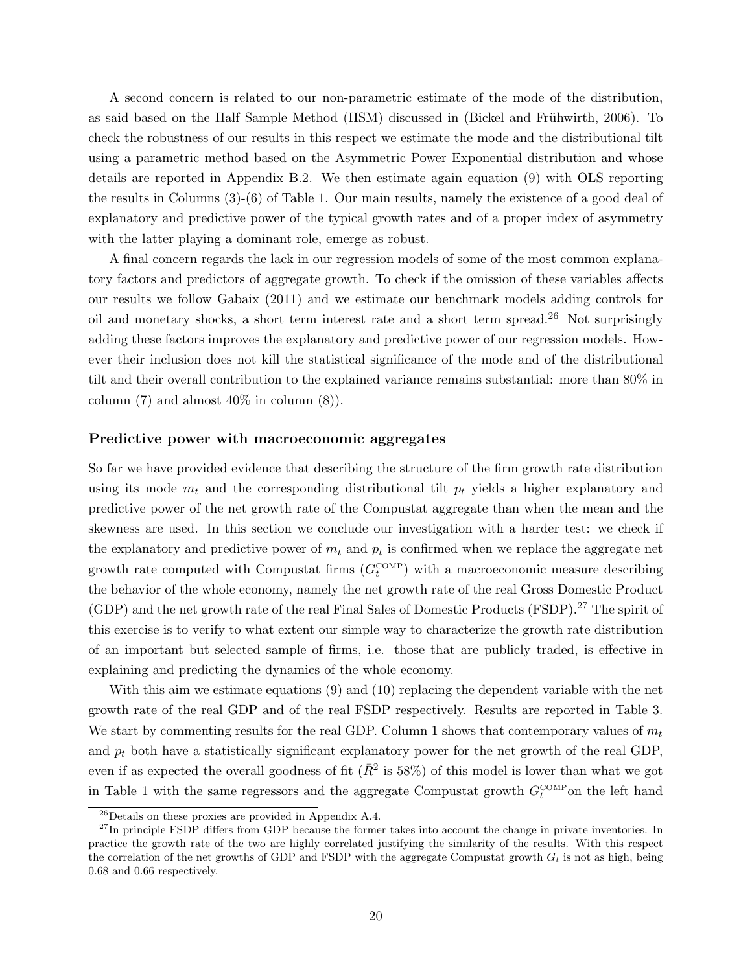A second concern is related to our non-parametric estimate of the mode of the distribution, as said based on the Half Sample Method (HSM) discussed in (Bickel and Frühwirth, 2006). To check the robustness of our results in this respect we estimate the mode and the distributional tilt using a parametric method based on the Asymmetric Power Exponential distribution and whose details are reported in Appendix B.2. We then estimate again equation (9) with OLS reporting the results in Columns (3)-(6) of Table 1. Our main results, namely the existence of a good deal of explanatory and predictive power of the typical growth rates and of a proper index of asymmetry with the latter playing a dominant role, emerge as robust.

A final concern regards the lack in our regression models of some of the most common explanatory factors and predictors of aggregate growth. To check if the omission of these variables affects our results we follow Gabaix (2011) and we estimate our benchmark models adding controls for oil and monetary shocks, a short term interest rate and a short term spread.<sup>26</sup> Not surprisingly adding these factors improves the explanatory and predictive power of our regression models. However their inclusion does not kill the statistical significance of the mode and of the distributional tilt and their overall contribution to the explained variance remains substantial: more than 80% in column  $(7)$  and almost  $40\%$  in column  $(8)$ ).

#### Predictive power with macroeconomic aggregates

So far we have provided evidence that describing the structure of the firm growth rate distribution using its mode  $m_t$  and the corresponding distributional tilt  $p_t$  yields a higher explanatory and predictive power of the net growth rate of the Compustat aggregate than when the mean and the skewness are used. In this section we conclude our investigation with a harder test: we check if the explanatory and predictive power of  $m_t$  and  $p_t$  is confirmed when we replace the aggregate net growth rate computed with Compustat firms  $(G_t^{\text{COMP}})$  with a macroeconomic measure describing the behavior of the whole economy, namely the net growth rate of the real Gross Domestic Product (GDP) and the net growth rate of the real Final Sales of Domestic Products (FSDP).<sup>27</sup> The spirit of this exercise is to verify to what extent our simple way to characterize the growth rate distribution of an important but selected sample of firms, i.e. those that are publicly traded, is effective in explaining and predicting the dynamics of the whole economy.

With this aim we estimate equations (9) and (10) replacing the dependent variable with the net growth rate of the real GDP and of the real FSDP respectively. Results are reported in Table 3. We start by commenting results for the real GDP. Column 1 shows that contemporary values of  $m_t$ and  $p_t$  both have a statistically significant explanatory power for the net growth of the real GDP, even if as expected the overall goodness of fit  $(\bar{R}^2 \text{ is } 58\%)$  of this model is lower than what we got in Table 1 with the same regressors and the aggregate Compustat growth  $G_t^{\text{COMP}}$  on the left hand

<sup>26</sup>Details on these proxies are provided in Appendix A.4.

 $^{27}$ In principle FSDP differs from GDP because the former takes into account the change in private inventories. In practice the growth rate of the two are highly correlated justifying the similarity of the results. With this respect the correlation of the net growths of GDP and FSDP with the aggregate Compustat growth  $G_t$  is not as high, being 0.68 and 0.66 respectively.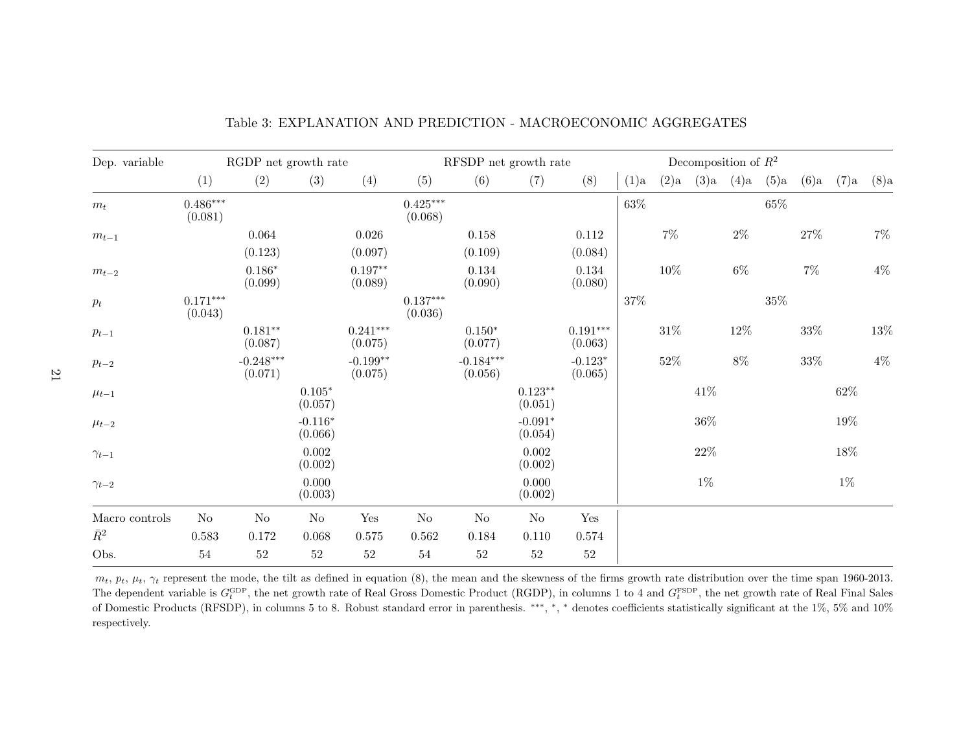| Dep. variable                      | RGDP net growth rate  |                        |                      |                       | RFSDP net growth rate |                        |                      |                       | Decomposition of $R^2$ |        |         |         |        |         |         |         |
|------------------------------------|-----------------------|------------------------|----------------------|-----------------------|-----------------------|------------------------|----------------------|-----------------------|------------------------|--------|---------|---------|--------|---------|---------|---------|
|                                    | (1)                   | (2)                    | (3)                  | (4)                   | (5)                   | (6)                    | (7)                  | (8)                   | $(1)$ a                | (2)a   | $(3)$ a | $(4)$ a | (5)a   | $(6)$ a | $(7)$ a | $(8)$ a |
| $m_t$                              | $0.486***$<br>(0.081) |                        |                      |                       | $0.425***$<br>(0.068) |                        |                      |                       | $63\%$                 |        |         |         | $65\%$ |         |         |         |
| $m_{t-1}$                          |                       | 0.064<br>(0.123)       |                      | $0.026\,$<br>(0.097)  |                       | 0.158<br>(0.109)       |                      | 0.112<br>(0.084)      |                        | $7\%$  |         | $2\%$   |        | $27\%$  |         | $7\%$   |
| $m_{t-2}$                          |                       | $0.186*$<br>(0.099)    |                      | $0.197**$<br>(0.089)  |                       | $0.134\,$<br>(0.090)   |                      | 0.134<br>(0.080)      |                        | $10\%$ |         | $6\%$   |        | $7\%$   |         | $4\%$   |
| $p_{t}% \sqrt{p_{t}}=\sqrt{p_{t}}$ | $0.171***$<br>(0.043) |                        |                      |                       | $0.137***$<br>(0.036) |                        |                      |                       | 37%                    |        |         |         | $35\%$ |         |         |         |
| $p_{t-1}$                          |                       | $0.181**$<br>(0.087)   |                      | $0.241***$<br>(0.075) |                       | $0.150*$<br>(0.077)    |                      | $0.191***$<br>(0.063) |                        | $31\%$ |         | $12\%$  |        | $33\%$  |         | $13\%$  |
| $p_{t-2}$                          |                       | $-0.248***$<br>(0.071) |                      | $-0.199**$<br>(0.075) |                       | $-0.184***$<br>(0.056) |                      | $-0.123*$<br>(0.065)  |                        | $52\%$ |         | 8%      |        | 33%     |         | $4\%$   |
| $\mu_{t-1}$                        |                       |                        | $0.105*$<br>(0.057)  |                       |                       |                        | $0.123**$<br>(0.051) |                       |                        |        | 41\%    |         |        |         | $62\%$  |         |
| $\mu_{t-2}$                        |                       |                        | $-0.116*$<br>(0.066) |                       |                       |                        | $-0.091*$<br>(0.054) |                       |                        |        | $36\%$  |         |        |         | 19%     |         |
| $\gamma_{t-1}$                     |                       |                        | 0.002<br>(0.002)     |                       |                       |                        | $0.002\,$<br>(0.002) |                       |                        |        | $22\%$  |         |        |         | 18%     |         |
| $\gamma_{t-2}$                     |                       |                        | 0.000<br>(0.003)     |                       |                       |                        | 0.000<br>(0.002)     |                       |                        |        | $1\%$   |         |        |         | $1\%$   |         |
| Macro controls                     | $\rm No$              | $\rm No$               | No                   | Yes                   | $\rm No$              | $\rm No$               | $\rm No$             | Yes                   |                        |        |         |         |        |         |         |         |
| $\bar{R}^2$                        | 0.583                 | $0.172\,$              | 0.068                | $0.575\,$             | 0.562                 | 0.184                  | 0.110                | 0.574                 |                        |        |         |         |        |         |         |         |
| Obs.                               | $54\,$                | $52\,$                 | $52\,$               | $52\,$                | $54\,$                | $52\,$                 | $52\,$               | $52\,$                |                        |        |         |         |        |         |         |         |

Table 3: EXPLANATION AND PREDICTION - MACROECONOMIC AGGREGATES

 $m_t$ ,  $p_t$ ,  $\mu_t$ ,  $\gamma_t$  represent the mode, the tilt as defined in equation (8), the mean and the skewness of the firms growth rate distribution over the time span 1960-2013. The dependent variable is  $G_t^{\text{GDP}}$ , the net growth rate of Real Gross Domestic Product (RGDP), in columns 1 to 4 and  $G_t^{\text{FSDP}}$ , the net growth rate of Real Final Sales of Domestic Products (RFSDP), in columns 5 to 8. Robust standard error in parenthesis. \*\*\*, \*, \* denotes coefficients statistically significant at the 1%, 5% and 10% respectively.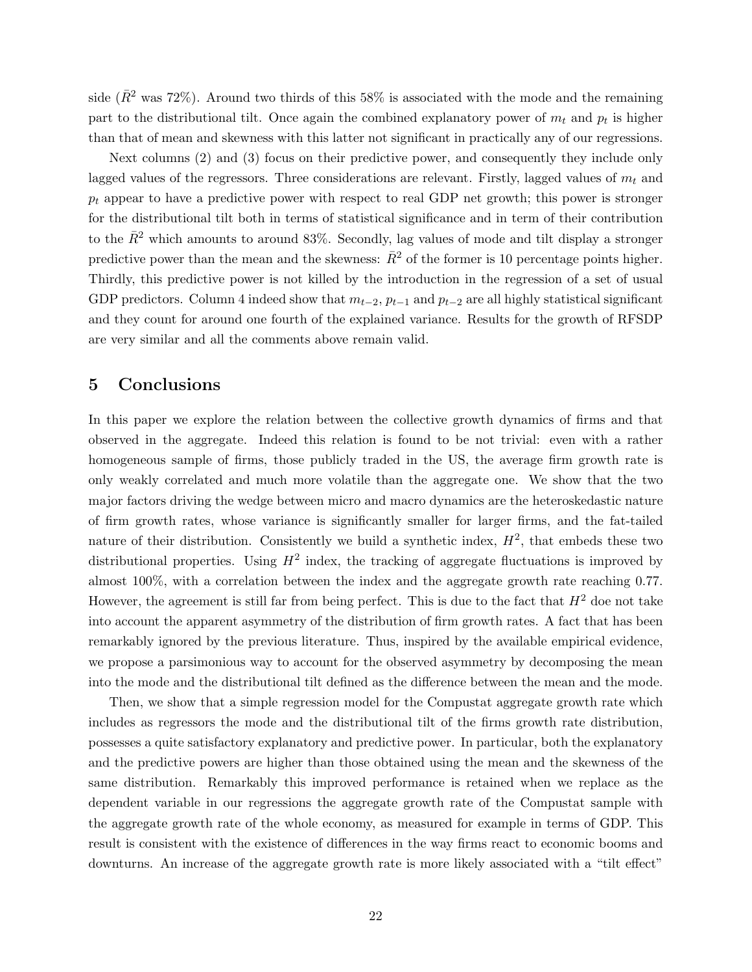side ( $\bar{R}^2$  was 72%). Around two thirds of this 58% is associated with the mode and the remaining part to the distributional tilt. Once again the combined explanatory power of  $m_t$  and  $p_t$  is higher than that of mean and skewness with this latter not significant in practically any of our regressions.

Next columns (2) and (3) focus on their predictive power, and consequently they include only lagged values of the regressors. Three considerations are relevant. Firstly, lagged values of  $m_t$  and  $p_t$  appear to have a predictive power with respect to real GDP net growth; this power is stronger for the distributional tilt both in terms of statistical significance and in term of their contribution to the  $\bar{R}^2$  which amounts to around 83%. Secondly, lag values of mode and tilt display a stronger predictive power than the mean and the skewness:  $\bar{R}^2$  of the former is 10 percentage points higher. Thirdly, this predictive power is not killed by the introduction in the regression of a set of usual GDP predictors. Column 4 indeed show that  $m_{t-2}$ ,  $p_{t-1}$  and  $p_{t-2}$  are all highly statistical significant and they count for around one fourth of the explained variance. Results for the growth of RFSDP are very similar and all the comments above remain valid.

# 5 Conclusions

In this paper we explore the relation between the collective growth dynamics of firms and that observed in the aggregate. Indeed this relation is found to be not trivial: even with a rather homogeneous sample of firms, those publicly traded in the US, the average firm growth rate is only weakly correlated and much more volatile than the aggregate one. We show that the two major factors driving the wedge between micro and macro dynamics are the heteroskedastic nature of firm growth rates, whose variance is significantly smaller for larger firms, and the fat-tailed nature of their distribution. Consistently we build a synthetic index,  $H^2$ , that embeds these two distributional properties. Using  $H^2$  index, the tracking of aggregate fluctuations is improved by almost 100%, with a correlation between the index and the aggregate growth rate reaching 0.77. However, the agreement is still far from being perfect. This is due to the fact that  $H<sup>2</sup>$  doe not take into account the apparent asymmetry of the distribution of firm growth rates. A fact that has been remarkably ignored by the previous literature. Thus, inspired by the available empirical evidence, we propose a parsimonious way to account for the observed asymmetry by decomposing the mean into the mode and the distributional tilt defined as the difference between the mean and the mode.

Then, we show that a simple regression model for the Compustat aggregate growth rate which includes as regressors the mode and the distributional tilt of the firms growth rate distribution, possesses a quite satisfactory explanatory and predictive power. In particular, both the explanatory and the predictive powers are higher than those obtained using the mean and the skewness of the same distribution. Remarkably this improved performance is retained when we replace as the dependent variable in our regressions the aggregate growth rate of the Compustat sample with the aggregate growth rate of the whole economy, as measured for example in terms of GDP. This result is consistent with the existence of differences in the way firms react to economic booms and downturns. An increase of the aggregate growth rate is more likely associated with a "tilt effect"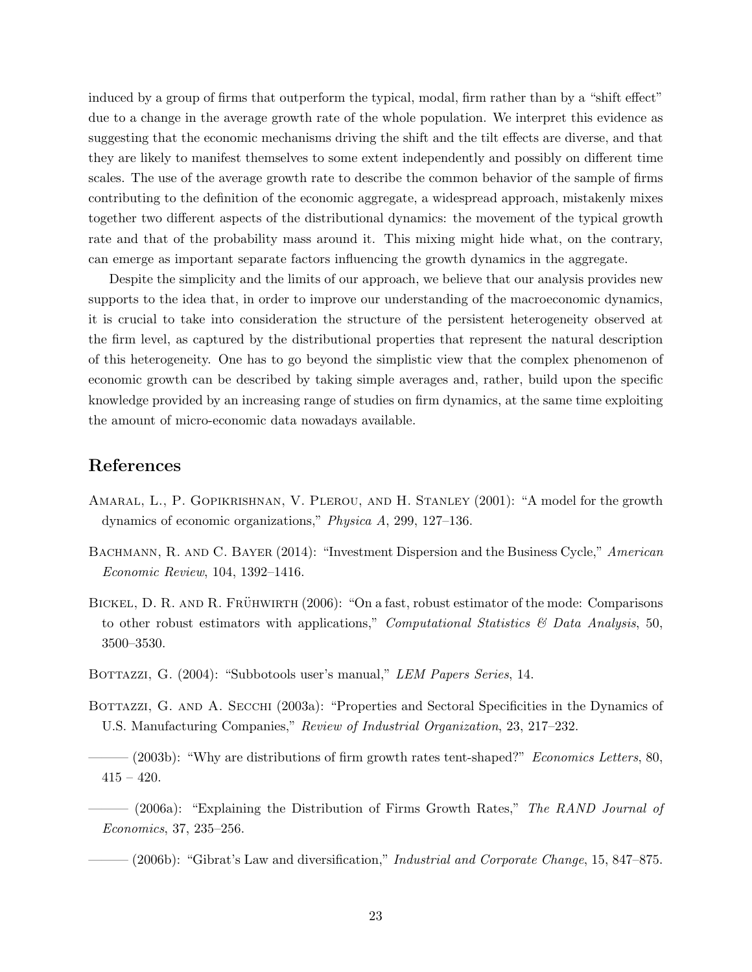induced by a group of firms that outperform the typical, modal, firm rather than by a "shift effect" due to a change in the average growth rate of the whole population. We interpret this evidence as suggesting that the economic mechanisms driving the shift and the tilt effects are diverse, and that they are likely to manifest themselves to some extent independently and possibly on different time scales. The use of the average growth rate to describe the common behavior of the sample of firms contributing to the definition of the economic aggregate, a widespread approach, mistakenly mixes together two different aspects of the distributional dynamics: the movement of the typical growth rate and that of the probability mass around it. This mixing might hide what, on the contrary, can emerge as important separate factors influencing the growth dynamics in the aggregate.

Despite the simplicity and the limits of our approach, we believe that our analysis provides new supports to the idea that, in order to improve our understanding of the macroeconomic dynamics, it is crucial to take into consideration the structure of the persistent heterogeneity observed at the firm level, as captured by the distributional properties that represent the natural description of this heterogeneity. One has to go beyond the simplistic view that the complex phenomenon of economic growth can be described by taking simple averages and, rather, build upon the specific knowledge provided by an increasing range of studies on firm dynamics, at the same time exploiting the amount of micro-economic data nowadays available.

## References

- AMARAL, L., P. GOPIKRISHNAN, V. PLEROU, AND H. STANLEY (2001): "A model for the growth dynamics of economic organizations," *Physica A*, 299, 127–136.
- Bachmann, R. and C. Bayer (2014): "Investment Dispersion and the Business Cycle," *American Economic Review*, 104, 1392–1416.
- BICKEL, D. R. AND R. FRÜHWIRTH (2006): "On a fast, robust estimator of the mode: Comparisons to other robust estimators with applications," *Computational Statistics & Data Analysis*, 50, 3500–3530.
- BOTTAZZI, G. (2004): "Subbotools user's manual," *LEM Papers Series*, 14.
- BOTTAZZI, G. AND A. SECCHI (2003a): "Properties and Sectoral Specificities in the Dynamics of U.S. Manufacturing Companies," *Review of Industrial Organization*, 23, 217–232.

——— (2003b): "Why are distributions of firm growth rates tent-shaped?" *Economics Letters*, 80,  $415 - 420.$ 

- ——— (2006a): "Explaining the Distribution of Firms Growth Rates," *The RAND Journal of Economics*, 37, 235–256.
	- ——— (2006b): "Gibrat's Law and diversification," *Industrial and Corporate Change*, 15, 847–875.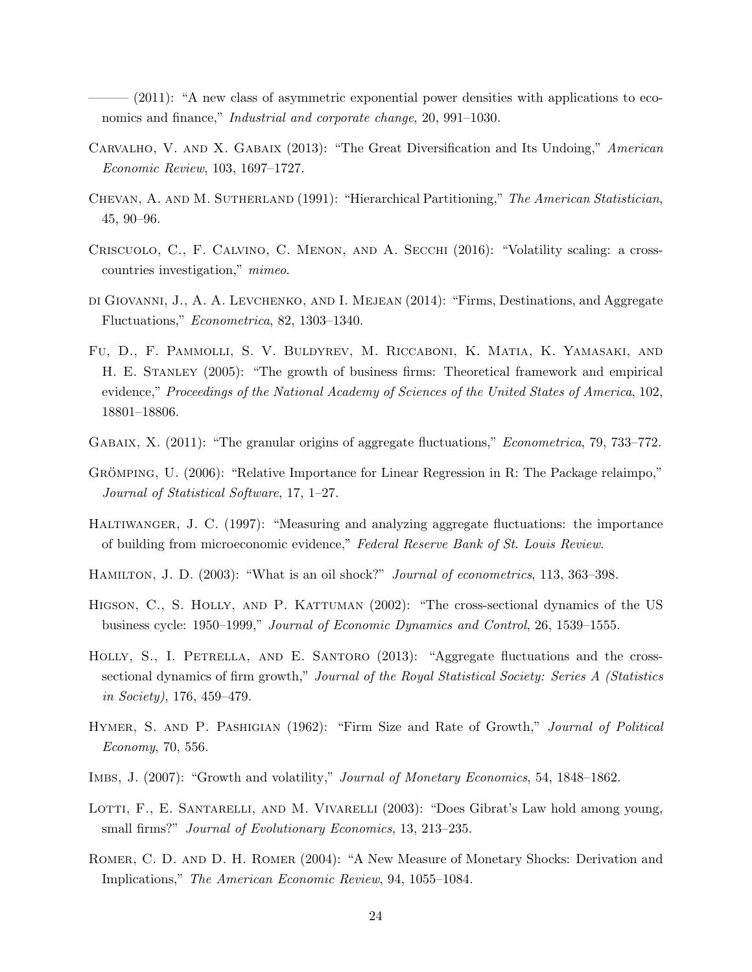$(2011)$ : "A new class of asymmetric exponential power densities with applications to economics and finance," *Industrial and corporate change*, 20, 991–1030.

- Carvalho, V. and X. Gabaix (2013): "The Great Diversification and Its Undoing," *American Economic Review*, 103, 1697–1727.
- Chevan, A. and M. Sutherland (1991): "Hierarchical Partitioning," *The American Statistician*, 45, 90–96.
- Criscuolo, C., F. Calvino, C. Menon, and A. Secchi (2016): "Volatility scaling: a crosscountries investigation," *mimeo*.
- di Giovanni, J., A. A. Levchenko, and I. Mejean (2014): "Firms, Destinations, and Aggregate Fluctuations," *Econometrica*, 82, 1303–1340.
- Fu, D., F. Pammolli, S. V. Buldyrev, M. Riccaboni, K. Matia, K. Yamasaki, and H. E. Stanley (2005): "The growth of business firms: Theoretical framework and empirical evidence," *Proceedings of the National Academy of Sciences of the United States of America*, 102, 18801–18806.
- Gabaix, X. (2011): "The granular origins of aggregate fluctuations," *Econometrica*, 79, 733–772.
- GRÖMPING, U.  $(2006)$ : "Relative Importance for Linear Regression in R: The Package relaimpo," *Journal of Statistical Software*, 17, 1–27.
- Haltiwanger, J. C. (1997): "Measuring and analyzing aggregate fluctuations: the importance of building from microeconomic evidence," *Federal Reserve Bank of St. Louis Review*.
- Hamilton, J. D. (2003): "What is an oil shock?" *Journal of econometrics*, 113, 363–398.
- HIGSON, C., S. HOLLY, AND P. KATTUMAN (2002): "The cross-sectional dynamics of the US business cycle: 1950–1999," *Journal of Economic Dynamics and Control*, 26, 1539–1555.
- HOLLY, S., I. PETRELLA, AND E. SANTORO (2013): "Aggregate fluctuations and the crosssectional dynamics of firm growth," *Journal of the Royal Statistical Society: Series A (Statistics in Society)*, 176, 459–479.
- Hymer, S. and P. Pashigian (1962): "Firm Size and Rate of Growth," *Journal of Political Economy*, 70, 556.
- Imbs, J. (2007): "Growth and volatility," *Journal of Monetary Economics*, 54, 1848–1862.
- LOTTI, F., E. SANTARELLI, AND M. VIVARELLI (2003): "Does Gibrat's Law hold among young, small firms?" *Journal of Evolutionary Economics*, 13, 213–235.
- Romer, C. D. and D. H. Romer (2004): "A New Measure of Monetary Shocks: Derivation and Implications," *The American Economic Review*, 94, 1055–1084.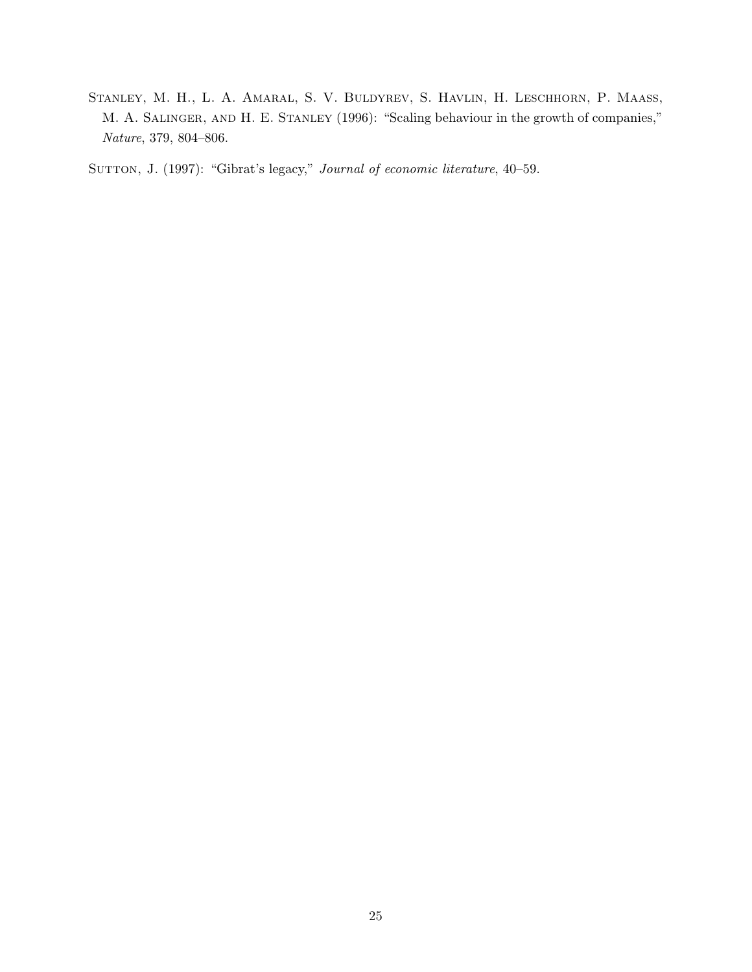Stanley, M. H., L. A. Amaral, S. V. Buldyrev, S. Havlin, H. Leschhorn, P. Maass, M. A. SALINGER, AND H. E. STANLEY (1996): "Scaling behaviour in the growth of companies," *Nature*, 379, 804–806.

SUTTON, J. (1997): "Gibrat's legacy," *Journal of economic literature*, 40–59.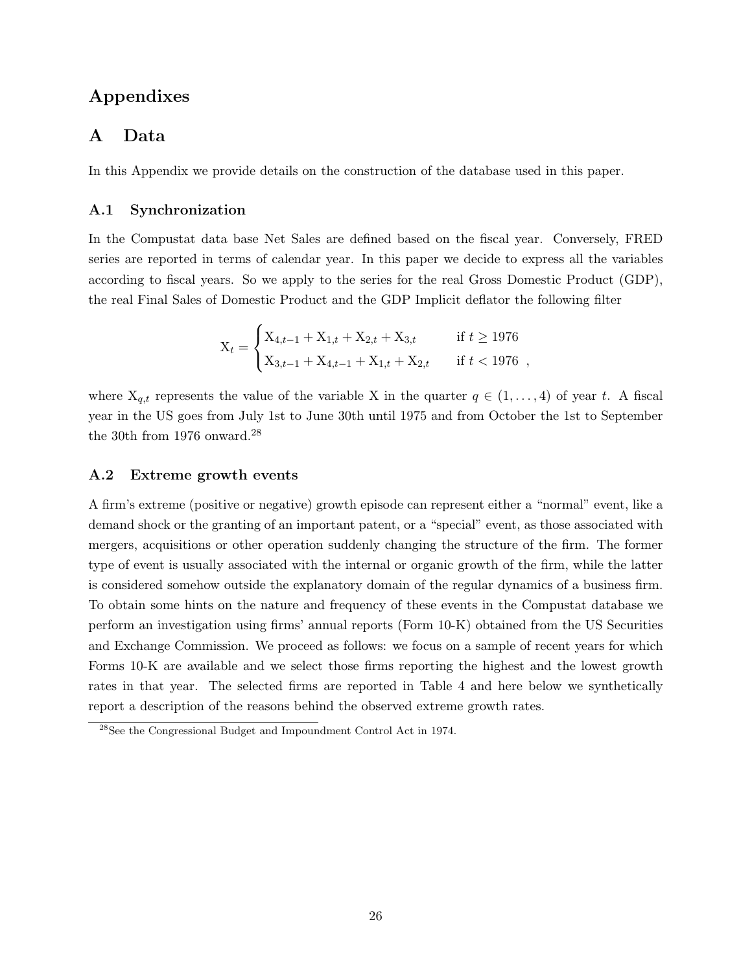# Appendixes

# A Data

In this Appendix we provide details on the construction of the database used in this paper.

#### A.1 Synchronization

In the Compustat data base Net Sales are defined based on the fiscal year. Conversely, FRED series are reported in terms of calendar year. In this paper we decide to express all the variables according to fiscal years. So we apply to the series for the real Gross Domestic Product (GDP), the real Final Sales of Domestic Product and the GDP Implicit deflator the following filter

$$
X_t = \begin{cases} X_{4,t-1} + X_{1,t} + X_{2,t} + X_{3,t} & \text{if } t \ge 1976\\ X_{3,t-1} + X_{4,t-1} + X_{1,t} + X_{2,t} & \text{if } t < 1976 \end{cases}
$$

where  $X_{q,t}$  represents the value of the variable X in the quarter  $q \in (1, \ldots, 4)$  of year t. A fiscal year in the US goes from July 1st to June 30th until 1975 and from October the 1st to September the 30th from 1976 onward.<sup>28</sup>

#### A.2 Extreme growth events

A firm's extreme (positive or negative) growth episode can represent either a "normal" event, like a demand shock or the granting of an important patent, or a "special" event, as those associated with mergers, acquisitions or other operation suddenly changing the structure of the firm. The former type of event is usually associated with the internal or organic growth of the firm, while the latter is considered somehow outside the explanatory domain of the regular dynamics of a business firm. To obtain some hints on the nature and frequency of these events in the Compustat database we perform an investigation using firms' annual reports (Form 10-K) obtained from the US Securities and Exchange Commission. We proceed as follows: we focus on a sample of recent years for which Forms 10-K are available and we select those firms reporting the highest and the lowest growth rates in that year. The selected firms are reported in Table 4 and here below we synthetically report a description of the reasons behind the observed extreme growth rates.

<sup>28</sup>See the Congressional Budget and Impoundment Control Act in 1974.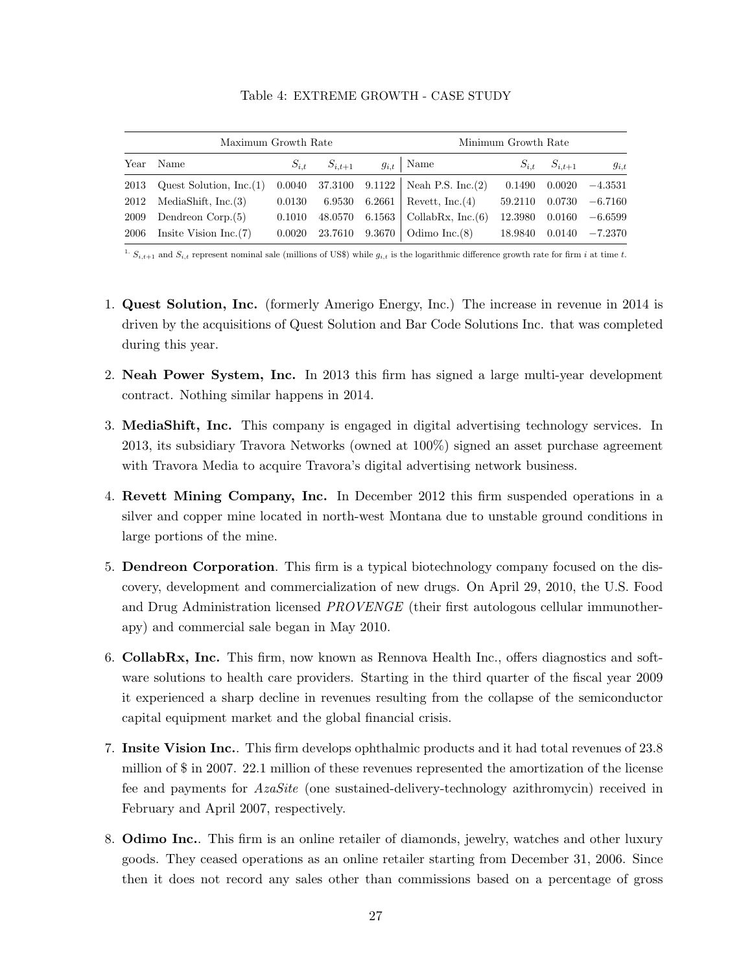|      | Maximum Growth Rate           |            | Minimum Growth Rate |  |                                         |                 |                       |                              |
|------|-------------------------------|------------|---------------------|--|-----------------------------------------|-----------------|-----------------------|------------------------------|
| Year | Name                          | $S_{i.t.}$ | $S_{i,t+1}$         |  | $g_{i,t}$   Name                        | $S_{i.t.}$      | $S_{i,t+1}$           | $g_{i,t}$                    |
| 2013 | Quest Solution, Inc. (1)      |            |                     |  | 0.0040 37.3100 9.1122 Neah P.S. Inc.(2) |                 | $0.1490 \quad 0.0020$ | $-4.3531$                    |
|      | $2012$ MediaShift, Inc. (3)   |            |                     |  | $0.0130$ 6.9530 6.2661 Revett, Inc. (4) |                 |                       | $59.2110$ $0.0730$ $-6.7160$ |
| 2009 | Dendreon Corp. (5)            | 0.1010     |                     |  | 48.0570 6.1563   CollabRx, Inc. (6)     | 12.3980  0.0160 |                       | $-6.6599$                    |
|      | 2006 Insite Vision Inc. $(7)$ |            |                     |  | $0.0020$ 23.7610 9.3670 Odimo Inc.(8)   |                 |                       | $18.9840$ $0.0140$ $-7.2370$ |

Table 4: EXTREME GROWTH - CASE STUDY

<sup>1.</sup>  $S_{i,t+1}$  and  $S_{i,t}$  represent nominal sale (millions of US\$) while  $g_{i,t}$  is the logarithmic difference growth rate for firm i at time t.

- 1. Quest Solution, Inc. (formerly Amerigo Energy, Inc.) The increase in revenue in 2014 is driven by the acquisitions of Quest Solution and Bar Code Solutions Inc. that was completed during this year.
- 2. Neah Power System, Inc. In 2013 this firm has signed a large multi-year development contract. Nothing similar happens in 2014.
- 3. MediaShift, Inc. This company is engaged in digital advertising technology services. In 2013, its subsidiary Travora Networks (owned at 100%) signed an asset purchase agreement with Travora Media to acquire Travora's digital advertising network business.
- 4. Revett Mining Company, Inc. In December 2012 this firm suspended operations in a silver and copper mine located in north-west Montana due to unstable ground conditions in large portions of the mine.
- 5. Dendreon Corporation. This firm is a typical biotechnology company focused on the discovery, development and commercialization of new drugs. On April 29, 2010, the U.S. Food and Drug Administration licensed *PROVENGE* (their first autologous cellular immunotherapy) and commercial sale began in May 2010.
- 6. CollabRx, Inc. This firm, now known as Rennova Health Inc., offers diagnostics and software solutions to health care providers. Starting in the third quarter of the fiscal year 2009 it experienced a sharp decline in revenues resulting from the collapse of the semiconductor capital equipment market and the global financial crisis.
- 7. Insite Vision Inc.. This firm develops ophthalmic products and it had total revenues of 23.8 million of \$ in 2007. 22.1 million of these revenues represented the amortization of the license fee and payments for *AzaSite* (one sustained-delivery-technology azithromycin) received in February and April 2007, respectively.
- 8. Odimo Inc.. This firm is an online retailer of diamonds, jewelry, watches and other luxury goods. They ceased operations as an online retailer starting from December 31, 2006. Since then it does not record any sales other than commissions based on a percentage of gross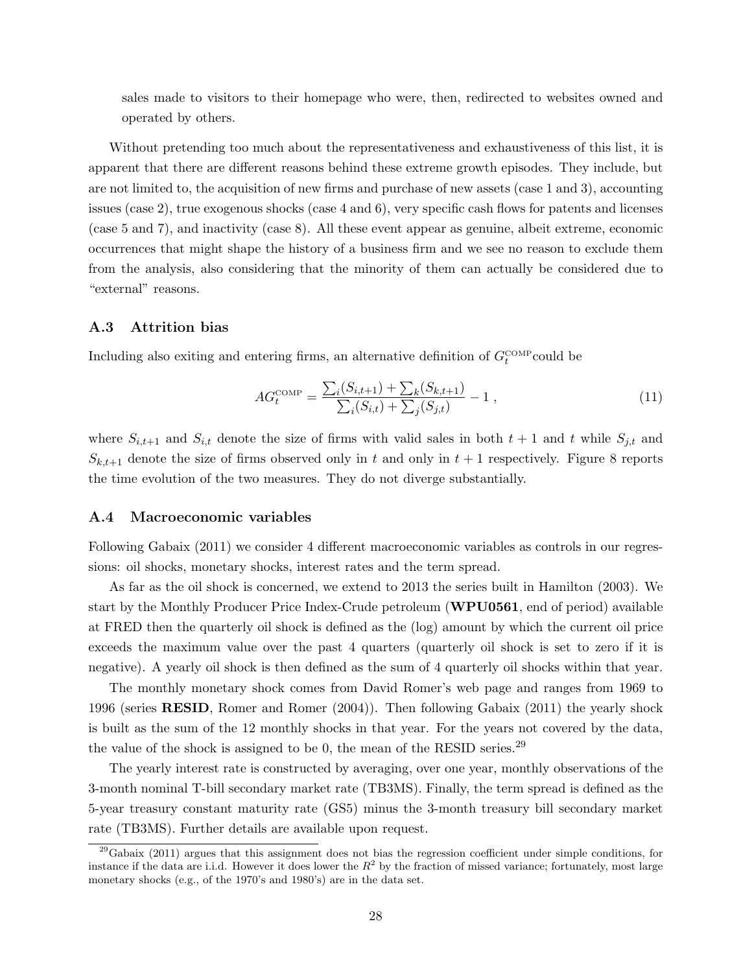sales made to visitors to their homepage who were, then, redirected to websites owned and operated by others.

Without pretending too much about the representativeness and exhaustiveness of this list, it is apparent that there are different reasons behind these extreme growth episodes. They include, but are not limited to, the acquisition of new firms and purchase of new assets (case 1 and 3), accounting issues (case 2), true exogenous shocks (case 4 and 6), very specific cash flows for patents and licenses (case 5 and 7), and inactivity (case 8). All these event appear as genuine, albeit extreme, economic occurrences that might shape the history of a business firm and we see no reason to exclude them from the analysis, also considering that the minority of them can actually be considered due to "external" reasons.

#### A.3 Attrition bias

Including also exiting and entering firms, an alternative definition of  $G_t^{\text{COMP}}$  could be

$$
AG_t^{\text{COMP}} = \frac{\sum_i (S_{i,t+1}) + \sum_k (S_{k,t+1})}{\sum_i (S_{i,t}) + \sum_j (S_{j,t})} - 1 ,
$$
\n(11)

where  $S_{i,t+1}$  and  $S_{i,t}$  denote the size of firms with valid sales in both  $t+1$  and t while  $S_{j,t}$  and  $S_{k,t+1}$  denote the size of firms observed only in t and only in  $t+1$  respectively. Figure 8 reports the time evolution of the two measures. They do not diverge substantially.

#### A.4 Macroeconomic variables

Following Gabaix (2011) we consider 4 different macroeconomic variables as controls in our regressions: oil shocks, monetary shocks, interest rates and the term spread.

As far as the oil shock is concerned, we extend to 2013 the series built in Hamilton (2003). We start by the Monthly Producer Price Index-Crude petroleum (WPU0561, end of period) available at FRED then the quarterly oil shock is defined as the (log) amount by which the current oil price exceeds the maximum value over the past 4 quarters (quarterly oil shock is set to zero if it is negative). A yearly oil shock is then defined as the sum of 4 quarterly oil shocks within that year.

The monthly monetary shock comes from David Romer's web page and ranges from 1969 to 1996 (series RESID, Romer and Romer (2004)). Then following Gabaix (2011) the yearly shock is built as the sum of the 12 monthly shocks in that year. For the years not covered by the data, the value of the shock is assigned to be 0, the mean of the RESID series.<sup>29</sup>

The yearly interest rate is constructed by averaging, over one year, monthly observations of the 3-month nominal T-bill secondary market rate (TB3MS). Finally, the term spread is defined as the 5-year treasury constant maturity rate (GS5) minus the 3-month treasury bill secondary market rate (TB3MS). Further details are available upon request.

 $^{29}$ Gabaix (2011) argues that this assignment does not bias the regression coefficient under simple conditions, for instance if the data are i.i.d. However it does lower the  $R^2$  by the fraction of missed variance; fortunately, most large monetary shocks (e.g., of the 1970's and 1980's) are in the data set.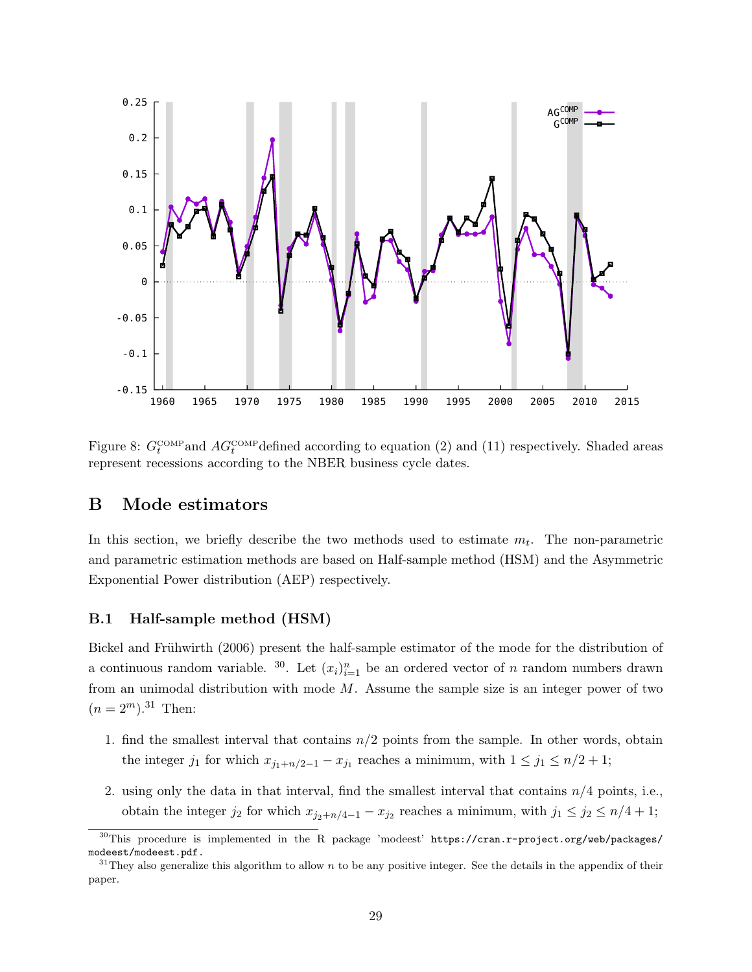

Figure 8:  $G_t^{\text{COMP}}$  and  $AG_t^{\text{COMP}}$  defined according to equation (2) and (11) respectively. Shaded areas represent recessions according to the NBER business cycle dates.

# B Mode estimators

In this section, we briefly describe the two methods used to estimate  $m_t$ . The non-parametric and parametric estimation methods are based on Half-sample method (HSM) and the Asymmetric Exponential Power distribution (AEP) respectively.

#### B.1 Half-sample method (HSM)

Bickel and Frühwirth (2006) present the half-sample estimator of the mode for the distribution of a continuous random variable. <sup>30</sup>. Let  $(x_i)_{i=1}^n$  be an ordered vector of n random numbers drawn from an unimodal distribution with mode  $M$ . Assume the sample size is an integer power of two  $(n = 2^m).^{31}$  Then:

- 1. find the smallest interval that contains  $n/2$  points from the sample. In other words, obtain the integer  $j_1$  for which  $x_{j_1+n/2-1} - x_{j_1}$  reaches a minimum, with  $1 \leq j_1 \leq n/2+1$ ;
- 2. using only the data in that interval, find the smallest interval that contains  $n/4$  points, i.e., obtain the integer  $j_2$  for which  $x_{j_2+n/4-1} - x_{j_2}$  reaches a minimum, with  $j_1 \leq j_2 \leq n/4+1$ ;

 $30$ This procedure is implemented in the R package 'modeest' https://cran.r-project.org/web/packages/ modeest/modeest.pdf.

<sup>&</sup>lt;sup>31</sup>They also generalize this algorithm to allow n to be any positive integer. See the details in the appendix of their paper.